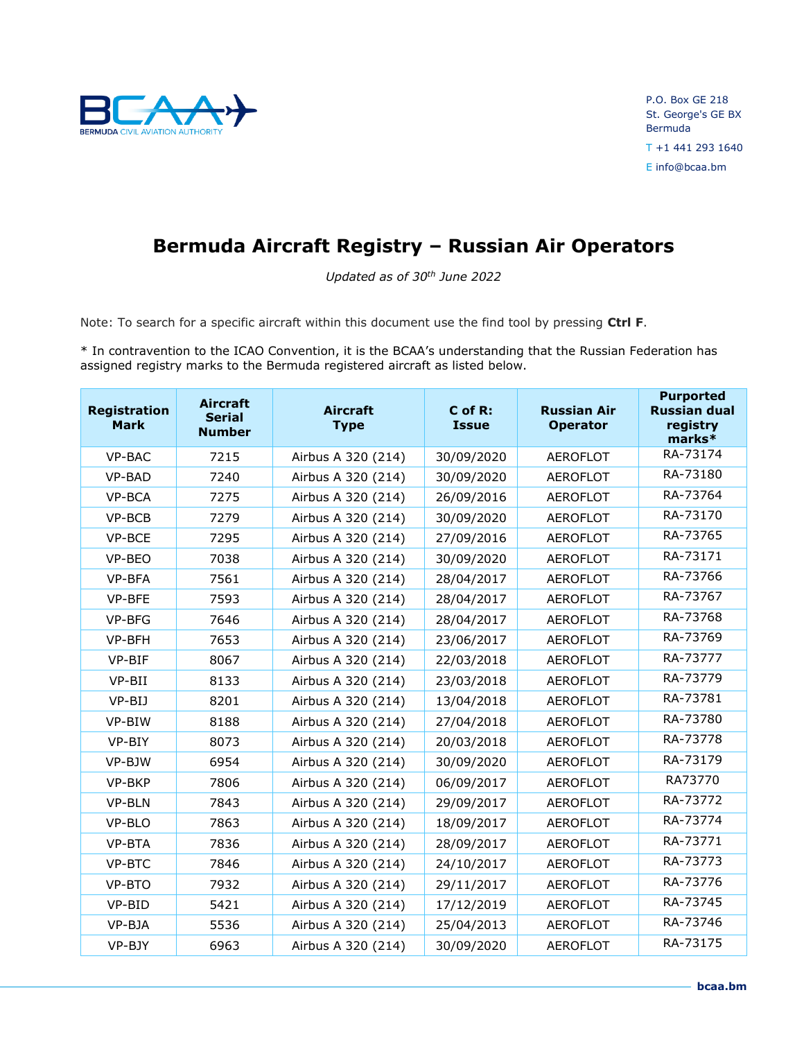

## **Bermuda Aircraft Registry – Russian Air Operators**

*Updated as of 30th June 2022*

Note: To search for a specific aircraft within this document use the find tool by pressing **Ctrl F**.

\* In contravention to the ICAO Convention, it is the BCAA's understanding that the Russian Federation has assigned registry marks to the Bermuda registered aircraft as listed below.

| <b>Registration</b><br><b>Mark</b> | <b>Aircraft</b><br><b>Serial</b><br><b>Number</b> | <b>Aircraft</b><br><b>Type</b> | C of R:<br><b>Issue</b> | <b>Russian Air</b><br><b>Operator</b> | <b>Purported</b><br><b>Russian dual</b><br>registry<br>marks* |
|------------------------------------|---------------------------------------------------|--------------------------------|-------------------------|---------------------------------------|---------------------------------------------------------------|
| VP-BAC                             | 7215                                              | Airbus A 320 (214)             | 30/09/2020              | <b>AEROFLOT</b>                       | RA-73174                                                      |
| VP-BAD                             | 7240                                              | Airbus A 320 (214)             | 30/09/2020              | <b>AEROFLOT</b>                       | RA-73180                                                      |
| VP-BCA                             | 7275                                              | Airbus A 320 (214)             | 26/09/2016              | <b>AEROFLOT</b>                       | RA-73764                                                      |
| VP-BCB                             | 7279                                              | Airbus A 320 (214)             | 30/09/2020              | <b>AEROFLOT</b>                       | RA-73170                                                      |
| VP-BCE                             | 7295                                              | Airbus A 320 (214)             | 27/09/2016              | <b>AEROFLOT</b>                       | RA-73765                                                      |
| VP-BEO                             | 7038                                              | Airbus A 320 (214)             | 30/09/2020              | <b>AEROFLOT</b>                       | RA-73171                                                      |
| VP-BFA                             | 7561                                              | Airbus A 320 (214)             | 28/04/2017              | <b>AEROFLOT</b>                       | RA-73766                                                      |
| VP-BFE                             | 7593                                              | Airbus A 320 (214)             | 28/04/2017              | <b>AEROFLOT</b>                       | RA-73767                                                      |
| VP-BFG                             | 7646                                              | Airbus A 320 (214)             | 28/04/2017              | <b>AEROFLOT</b>                       | RA-73768                                                      |
| VP-BFH                             | 7653                                              | Airbus A 320 (214)             | 23/06/2017              | <b>AEROFLOT</b>                       | RA-73769                                                      |
| VP-BIF                             | 8067                                              | Airbus A 320 (214)             | 22/03/2018              | <b>AEROFLOT</b>                       | RA-73777                                                      |
| VP-BII                             | 8133                                              | Airbus A 320 (214)             | 23/03/2018              | <b>AEROFLOT</b>                       | RA-73779                                                      |
| VP-BIJ                             | 8201                                              | Airbus A 320 (214)             | 13/04/2018              | <b>AEROFLOT</b>                       | RA-73781                                                      |
| VP-BIW                             | 8188                                              | Airbus A 320 (214)             | 27/04/2018              | <b>AEROFLOT</b>                       | RA-73780                                                      |
| VP-BIY                             | 8073                                              | Airbus A 320 (214)             | 20/03/2018              | <b>AEROFLOT</b>                       | RA-73778                                                      |
| VP-BJW                             | 6954                                              | Airbus A 320 (214)             | 30/09/2020              | <b>AEROFLOT</b>                       | RA-73179                                                      |
| VP-BKP                             | 7806                                              | Airbus A 320 (214)             | 06/09/2017              | <b>AEROFLOT</b>                       | RA73770                                                       |
| VP-BLN                             | 7843                                              | Airbus A 320 (214)             | 29/09/2017              | <b>AEROFLOT</b>                       | RA-73772                                                      |
| VP-BLO                             | 7863                                              | Airbus A 320 (214)             | 18/09/2017              | <b>AEROFLOT</b>                       | RA-73774                                                      |
| VP-BTA                             | 7836                                              | Airbus A 320 (214)             | 28/09/2017              | <b>AEROFLOT</b>                       | RA-73771                                                      |
| VP-BTC                             | 7846                                              | Airbus A 320 (214)             | 24/10/2017              | <b>AEROFLOT</b>                       | RA-73773                                                      |
| VP-BTO                             | 7932                                              | Airbus A 320 (214)             | 29/11/2017              | <b>AEROFLOT</b>                       | RA-73776                                                      |
| VP-BID                             | 5421                                              | Airbus A 320 (214)             | 17/12/2019              | <b>AEROFLOT</b>                       | RA-73745                                                      |
| VP-BJA                             | 5536                                              | Airbus A 320 (214)             | 25/04/2013              | <b>AEROFLOT</b>                       | RA-73746                                                      |
| VP-BJY                             | 6963                                              | Airbus A 320 (214)             | 30/09/2020              | <b>AEROFLOT</b>                       | RA-73175                                                      |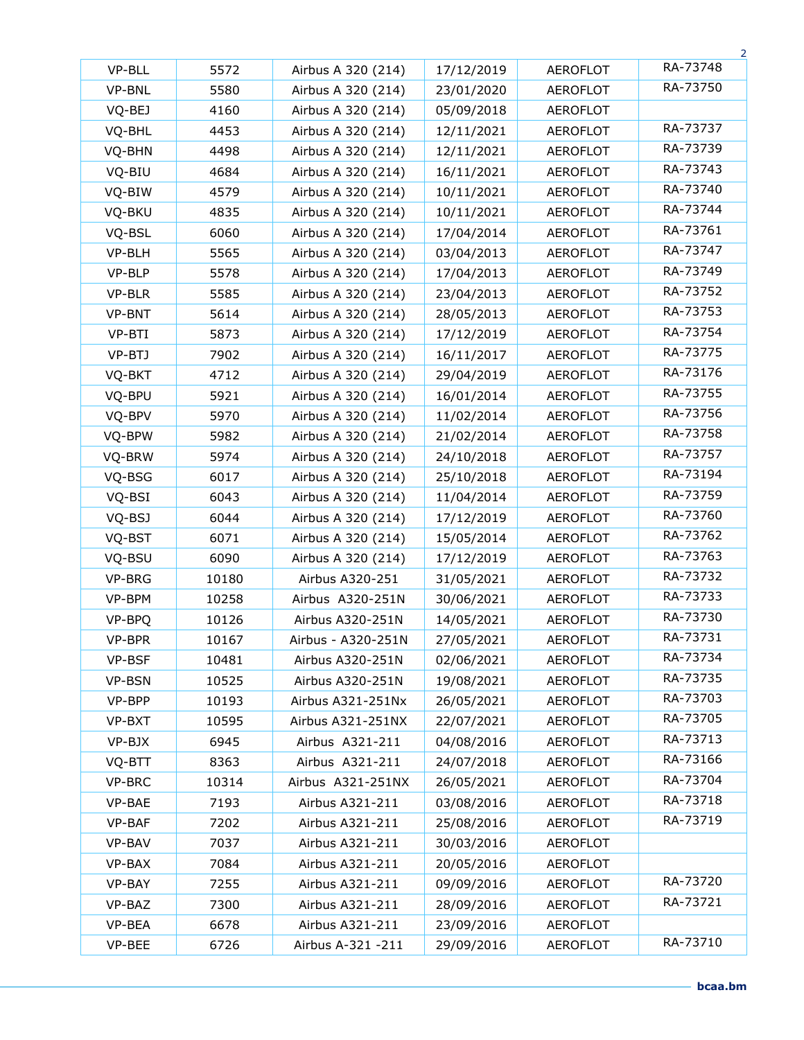|               |       |                    |            |                 | 2        |
|---------------|-------|--------------------|------------|-----------------|----------|
| VP-BLL        | 5572  | Airbus A 320 (214) | 17/12/2019 | <b>AEROFLOT</b> | RA-73748 |
| VP-BNL        | 5580  | Airbus A 320 (214) | 23/01/2020 | <b>AEROFLOT</b> | RA-73750 |
| VQ-BEJ        | 4160  | Airbus A 320 (214) | 05/09/2018 | <b>AEROFLOT</b> |          |
| VQ-BHL        | 4453  | Airbus A 320 (214) | 12/11/2021 | <b>AEROFLOT</b> | RA-73737 |
| VQ-BHN        | 4498  | Airbus A 320 (214) | 12/11/2021 | <b>AEROFLOT</b> | RA-73739 |
| VQ-BIU        | 4684  | Airbus A 320 (214) | 16/11/2021 | <b>AEROFLOT</b> | RA-73743 |
| VQ-BIW        | 4579  | Airbus A 320 (214) | 10/11/2021 | <b>AEROFLOT</b> | RA-73740 |
| VQ-BKU        | 4835  | Airbus A 320 (214) | 10/11/2021 | <b>AEROFLOT</b> | RA-73744 |
| VQ-BSL        | 6060  | Airbus A 320 (214) | 17/04/2014 | <b>AEROFLOT</b> | RA-73761 |
| VP-BLH        | 5565  | Airbus A 320 (214) | 03/04/2013 | <b>AEROFLOT</b> | RA-73747 |
| VP-BLP        | 5578  | Airbus A 320 (214) | 17/04/2013 | <b>AEROFLOT</b> | RA-73749 |
| VP-BLR        | 5585  | Airbus A 320 (214) | 23/04/2013 | <b>AEROFLOT</b> | RA-73752 |
| VP-BNT        | 5614  | Airbus A 320 (214) | 28/05/2013 | <b>AEROFLOT</b> | RA-73753 |
| VP-BTI        | 5873  | Airbus A 320 (214) | 17/12/2019 | <b>AEROFLOT</b> | RA-73754 |
| VP-BTJ        | 7902  | Airbus A 320 (214) | 16/11/2017 | <b>AEROFLOT</b> | RA-73775 |
| VQ-BKT        | 4712  | Airbus A 320 (214) | 29/04/2019 | <b>AEROFLOT</b> | RA-73176 |
| VQ-BPU        | 5921  | Airbus A 320 (214) | 16/01/2014 | <b>AEROFLOT</b> | RA-73755 |
| VQ-BPV        | 5970  | Airbus A 320 (214) | 11/02/2014 | <b>AEROFLOT</b> | RA-73756 |
| VQ-BPW        | 5982  | Airbus A 320 (214) | 21/02/2014 | <b>AEROFLOT</b> | RA-73758 |
| VQ-BRW        | 5974  | Airbus A 320 (214) | 24/10/2018 | <b>AEROFLOT</b> | RA-73757 |
| VQ-BSG        | 6017  | Airbus A 320 (214) | 25/10/2018 | <b>AEROFLOT</b> | RA-73194 |
| VQ-BSI        | 6043  | Airbus A 320 (214) | 11/04/2014 | <b>AEROFLOT</b> | RA-73759 |
| VQ-BSJ        | 6044  | Airbus A 320 (214) | 17/12/2019 | <b>AEROFLOT</b> | RA-73760 |
| VQ-BST        | 6071  | Airbus A 320 (214) | 15/05/2014 | <b>AEROFLOT</b> | RA-73762 |
| VQ-BSU        | 6090  | Airbus A 320 (214) | 17/12/2019 | <b>AEROFLOT</b> | RA-73763 |
| <b>VP-BRG</b> | 10180 | Airbus A320-251    | 31/05/2021 | <b>AEROFLOT</b> | RA-73732 |
| VP-BPM        | 10258 | Airbus A320-251N   | 30/06/2021 | <b>AEROFLOT</b> | RA-73733 |
| VP-BPQ        | 10126 | Airbus A320-251N   | 14/05/2021 | <b>AEROFLOT</b> | RA-73730 |
| VP-BPR        | 10167 | Airbus - A320-251N | 27/05/2021 | <b>AEROFLOT</b> | RA-73731 |
| VP-BSF        | 10481 | Airbus A320-251N   | 02/06/2021 | <b>AEROFLOT</b> | RA-73734 |
| VP-BSN        | 10525 | Airbus A320-251N   | 19/08/2021 | <b>AEROFLOT</b> | RA-73735 |
| VP-BPP        | 10193 | Airbus A321-251Nx  | 26/05/2021 | <b>AEROFLOT</b> | RA-73703 |
| VP-BXT        | 10595 | Airbus A321-251NX  | 22/07/2021 | <b>AEROFLOT</b> | RA-73705 |
| VP-BJX        | 6945  | Airbus A321-211    | 04/08/2016 | <b>AEROFLOT</b> | RA-73713 |
| VQ-BTT        | 8363  | Airbus A321-211    | 24/07/2018 | <b>AEROFLOT</b> | RA-73166 |
| VP-BRC        | 10314 | Airbus A321-251NX  | 26/05/2021 | <b>AEROFLOT</b> | RA-73704 |
| VP-BAE        | 7193  | Airbus A321-211    | 03/08/2016 | AEROFLOT        | RA-73718 |
| VP-BAF        | 7202  | Airbus A321-211    | 25/08/2016 | <b>AEROFLOT</b> | RA-73719 |
| VP-BAV        | 7037  | Airbus A321-211    | 30/03/2016 | <b>AEROFLOT</b> |          |
| VP-BAX        | 7084  | Airbus A321-211    | 20/05/2016 | <b>AEROFLOT</b> |          |
| VP-BAY        | 7255  | Airbus A321-211    | 09/09/2016 | <b>AEROFLOT</b> | RA-73720 |
| VP-BAZ        | 7300  | Airbus A321-211    | 28/09/2016 | <b>AEROFLOT</b> | RA-73721 |
| VP-BEA        | 6678  | Airbus A321-211    | 23/09/2016 | <b>AEROFLOT</b> |          |
| VP-BEE        | 6726  | Airbus A-321 -211  | 29/09/2016 | <b>AEROFLOT</b> | RA-73710 |
|               |       |                    |            |                 |          |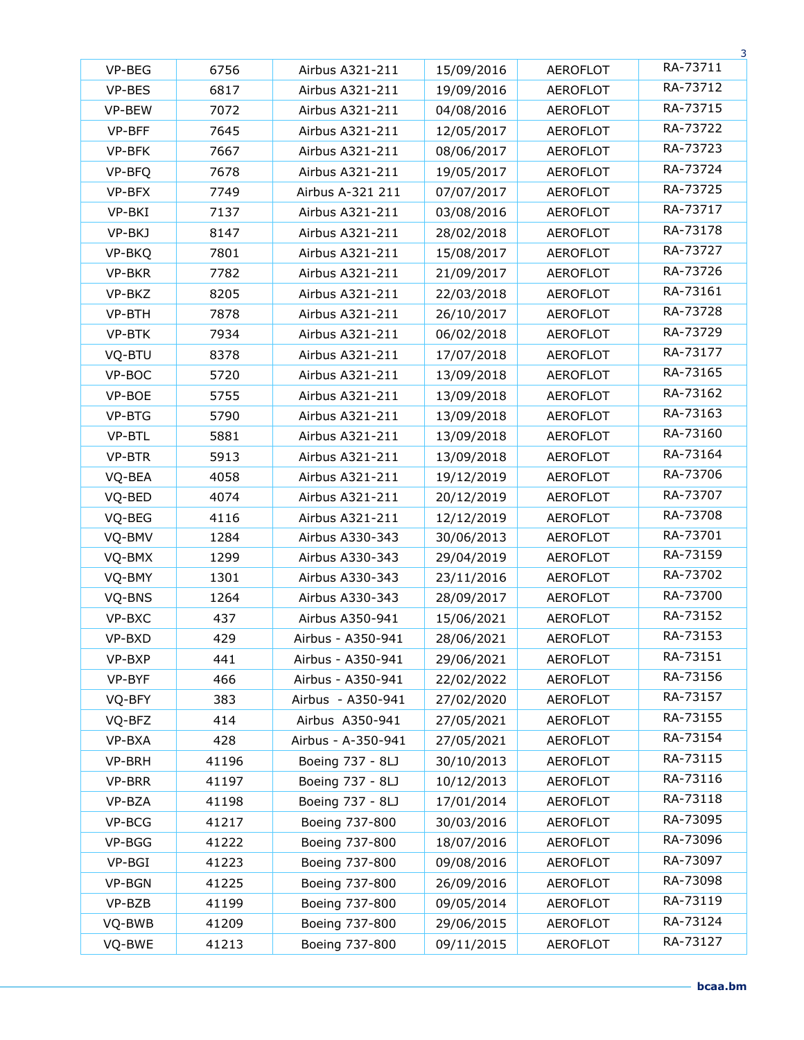|        |       |                    |            |                 | 3        |
|--------|-------|--------------------|------------|-----------------|----------|
| VP-BEG | 6756  | Airbus A321-211    | 15/09/2016 | <b>AEROFLOT</b> | RA-73711 |
| VP-BES | 6817  | Airbus A321-211    | 19/09/2016 | <b>AEROFLOT</b> | RA-73712 |
| VP-BEW | 7072  | Airbus A321-211    | 04/08/2016 | <b>AEROFLOT</b> | RA-73715 |
| VP-BFF | 7645  | Airbus A321-211    | 12/05/2017 | <b>AEROFLOT</b> | RA-73722 |
| VP-BFK | 7667  | Airbus A321-211    | 08/06/2017 | <b>AEROFLOT</b> | RA-73723 |
| VP-BFQ | 7678  | Airbus A321-211    | 19/05/2017 | <b>AEROFLOT</b> | RA-73724 |
| VP-BFX | 7749  | Airbus A-321 211   | 07/07/2017 | <b>AEROFLOT</b> | RA-73725 |
| VP-BKI | 7137  | Airbus A321-211    | 03/08/2016 | <b>AEROFLOT</b> | RA-73717 |
| VP-BKJ | 8147  | Airbus A321-211    | 28/02/2018 | <b>AEROFLOT</b> | RA-73178 |
| VP-BKQ | 7801  | Airbus A321-211    | 15/08/2017 | <b>AEROFLOT</b> | RA-73727 |
| VP-BKR | 7782  | Airbus A321-211    | 21/09/2017 | <b>AEROFLOT</b> | RA-73726 |
| VP-BKZ | 8205  | Airbus A321-211    | 22/03/2018 | <b>AEROFLOT</b> | RA-73161 |
| VP-BTH | 7878  | Airbus A321-211    | 26/10/2017 | <b>AEROFLOT</b> | RA-73728 |
| VP-BTK | 7934  | Airbus A321-211    | 06/02/2018 | <b>AEROFLOT</b> | RA-73729 |
| VQ-BTU | 8378  | Airbus A321-211    | 17/07/2018 | <b>AEROFLOT</b> | RA-73177 |
| VP-BOC | 5720  | Airbus A321-211    | 13/09/2018 | <b>AEROFLOT</b> | RA-73165 |
| VP-BOE | 5755  | Airbus A321-211    | 13/09/2018 | <b>AEROFLOT</b> | RA-73162 |
| VP-BTG | 5790  | Airbus A321-211    | 13/09/2018 | <b>AEROFLOT</b> | RA-73163 |
| VP-BTL | 5881  | Airbus A321-211    | 13/09/2018 | <b>AEROFLOT</b> | RA-73160 |
| VP-BTR | 5913  | Airbus A321-211    | 13/09/2018 | <b>AEROFLOT</b> | RA-73164 |
| VQ-BEA | 4058  | Airbus A321-211    | 19/12/2019 | <b>AEROFLOT</b> | RA-73706 |
| VQ-BED | 4074  | Airbus A321-211    | 20/12/2019 | <b>AEROFLOT</b> | RA-73707 |
| VQ-BEG | 4116  | Airbus A321-211    | 12/12/2019 | <b>AEROFLOT</b> | RA-73708 |
| VQ-BMV | 1284  | Airbus A330-343    | 30/06/2013 | <b>AEROFLOT</b> | RA-73701 |
| VQ-BMX | 1299  | Airbus A330-343    | 29/04/2019 | <b>AEROFLOT</b> | RA-73159 |
| VQ-BMY | 1301  | Airbus A330-343    | 23/11/2016 | <b>AEROFLOT</b> | RA-73702 |
| VQ-BNS | 1264  | Airbus A330-343    | 28/09/2017 | <b>AEROFLOT</b> | RA-73700 |
| VP-BXC | 437   | Airbus A350-941    | 15/06/2021 | <b>AEROFLOT</b> | RA-73152 |
| VP-BXD | 429   | Airbus - A350-941  | 28/06/2021 | <b>AEROFLOT</b> | RA-73153 |
| VP-BXP | 441   | Airbus - A350-941  | 29/06/2021 | <b>AEROFLOT</b> | RA-73151 |
| VP-BYF | 466   | Airbus - A350-941  | 22/02/2022 | AEROFLOT        | RA-73156 |
| VQ-BFY | 383   | Airbus - A350-941  | 27/02/2020 | AEROFLOT        | RA-73157 |
| VQ-BFZ | 414   | Airbus A350-941    | 27/05/2021 | <b>AEROFLOT</b> | RA-73155 |
| VP-BXA | 428   | Airbus - A-350-941 | 27/05/2021 | <b>AEROFLOT</b> | RA-73154 |
| VP-BRH | 41196 | Boeing 737 - 8LJ   | 30/10/2013 | <b>AEROFLOT</b> | RA-73115 |
| VP-BRR | 41197 | Boeing 737 - 8LJ   | 10/12/2013 | <b>AEROFLOT</b> | RA-73116 |
| VP-BZA | 41198 | Boeing 737 - 8LJ   | 17/01/2014 | <b>AEROFLOT</b> | RA-73118 |
| VP-BCG | 41217 | Boeing 737-800     | 30/03/2016 | <b>AEROFLOT</b> | RA-73095 |
| VP-BGG | 41222 | Boeing 737-800     | 18/07/2016 | <b>AEROFLOT</b> | RA-73096 |
| VP-BGI | 41223 | Boeing 737-800     | 09/08/2016 | <b>AEROFLOT</b> | RA-73097 |
| VP-BGN | 41225 | Boeing 737-800     | 26/09/2016 | <b>AEROFLOT</b> | RA-73098 |
| VP-BZB | 41199 | Boeing 737-800     | 09/05/2014 | AEROFLOT        | RA-73119 |
| VQ-BWB | 41209 | Boeing 737-800     | 29/06/2015 | <b>AEROFLOT</b> | RA-73124 |
| VQ-BWE | 41213 | Boeing 737-800     | 09/11/2015 | AEROFLOT        | RA-73127 |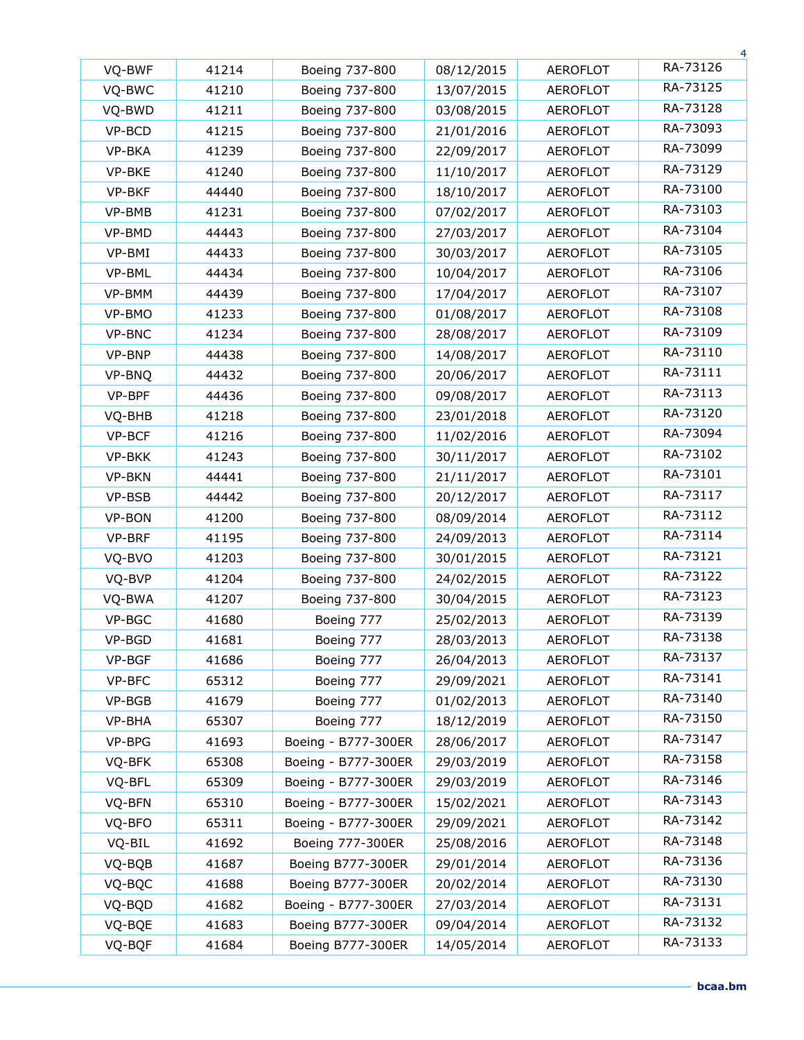|        |       |                     |            |                 | 4        |
|--------|-------|---------------------|------------|-----------------|----------|
| VQ-BWF | 41214 | Boeing 737-800      | 08/12/2015 | <b>AEROFLOT</b> | RA-73126 |
| VQ-BWC | 41210 | Boeing 737-800      | 13/07/2015 | <b>AEROFLOT</b> | RA-73125 |
| VQ-BWD | 41211 | Boeing 737-800      | 03/08/2015 | <b>AEROFLOT</b> | RA-73128 |
| VP-BCD | 41215 | Boeing 737-800      | 21/01/2016 | <b>AEROFLOT</b> | RA-73093 |
| VP-BKA | 41239 | Boeing 737-800      | 22/09/2017 | <b>AEROFLOT</b> | RA-73099 |
| VP-BKE | 41240 | Boeing 737-800      | 11/10/2017 | <b>AEROFLOT</b> | RA-73129 |
| VP-BKF | 44440 | Boeing 737-800      | 18/10/2017 | <b>AEROFLOT</b> | RA-73100 |
| VP-BMB | 41231 | Boeing 737-800      | 07/02/2017 | <b>AEROFLOT</b> | RA-73103 |
| VP-BMD | 44443 | Boeing 737-800      | 27/03/2017 | <b>AEROFLOT</b> | RA-73104 |
| VP-BMI | 44433 | Boeing 737-800      | 30/03/2017 | <b>AEROFLOT</b> | RA-73105 |
| VP-BML | 44434 | Boeing 737-800      | 10/04/2017 | <b>AEROFLOT</b> | RA-73106 |
| VP-BMM | 44439 | Boeing 737-800      | 17/04/2017 | <b>AEROFLOT</b> | RA-73107 |
| VP-BMO | 41233 | Boeing 737-800      | 01/08/2017 | <b>AEROFLOT</b> | RA-73108 |
| VP-BNC | 41234 | Boeing 737-800      | 28/08/2017 | <b>AEROFLOT</b> | RA-73109 |
| VP-BNP | 44438 | Boeing 737-800      | 14/08/2017 | <b>AEROFLOT</b> | RA-73110 |
| VP-BNQ | 44432 | Boeing 737-800      | 20/06/2017 | <b>AEROFLOT</b> | RA-73111 |
| VP-BPF | 44436 | Boeing 737-800      | 09/08/2017 | <b>AEROFLOT</b> | RA-73113 |
| VQ-BHB | 41218 | Boeing 737-800      | 23/01/2018 | <b>AEROFLOT</b> | RA-73120 |
| VP-BCF | 41216 | Boeing 737-800      | 11/02/2016 | <b>AEROFLOT</b> | RA-73094 |
| VP-BKK | 41243 | Boeing 737-800      | 30/11/2017 | <b>AEROFLOT</b> | RA-73102 |
| VP-BKN | 44441 | Boeing 737-800      | 21/11/2017 | <b>AEROFLOT</b> | RA-73101 |
| VP-BSB | 44442 | Boeing 737-800      | 20/12/2017 | <b>AEROFLOT</b> | RA-73117 |
| VP-BON | 41200 | Boeing 737-800      | 08/09/2014 | <b>AEROFLOT</b> | RA-73112 |
| VP-BRF | 41195 | Boeing 737-800      | 24/09/2013 | <b>AEROFLOT</b> | RA-73114 |
| VQ-BVO | 41203 | Boeing 737-800      | 30/01/2015 | <b>AEROFLOT</b> | RA-73121 |
| VQ-BVP | 41204 | Boeing 737-800      | 24/02/2015 | <b>AEROFLOT</b> | RA-73122 |
| VQ-BWA | 41207 | Boeing 737-800      | 30/04/2015 | <b>AEROFLOT</b> | RA-73123 |
| VP-BGC | 41680 | Boeing 777          | 25/02/2013 | <b>AEROFLOT</b> | RA-73139 |
| VP-BGD | 41681 | Boeing 777          | 28/03/2013 | <b>AEROFLOT</b> | RA-73138 |
| VP-BGF | 41686 | Boeing 777          | 26/04/2013 | <b>AEROFLOT</b> | RA-73137 |
| VP-BFC | 65312 | Boeing 777          | 29/09/2021 | AEROFLOT        | RA-73141 |
| VP-BGB | 41679 | Boeing 777          | 01/02/2013 | <b>AEROFLOT</b> | RA-73140 |
| VP-BHA | 65307 | Boeing 777          | 18/12/2019 | <b>AEROFLOT</b> | RA-73150 |
| VP-BPG | 41693 | Boeing - B777-300ER | 28/06/2017 | <b>AEROFLOT</b> | RA-73147 |
| VQ-BFK | 65308 | Boeing - B777-300ER | 29/03/2019 | <b>AEROFLOT</b> | RA-73158 |
| VQ-BFL | 65309 | Boeing - B777-300ER | 29/03/2019 | <b>AEROFLOT</b> | RA-73146 |
| VQ-BFN | 65310 | Boeing - B777-300ER | 15/02/2021 | AEROFLOT        | RA-73143 |
| VQ-BFO | 65311 | Boeing - B777-300ER | 29/09/2021 | <b>AEROFLOT</b> | RA-73142 |
| VQ-BIL | 41692 | Boeing 777-300ER    | 25/08/2016 | <b>AEROFLOT</b> | RA-73148 |
| VQ-BQB | 41687 | Boeing B777-300ER   | 29/01/2014 | <b>AEROFLOT</b> | RA-73136 |
| VQ-BQC | 41688 | Boeing B777-300ER   | 20/02/2014 | <b>AEROFLOT</b> | RA-73130 |
| VQ-BQD | 41682 | Boeing - B777-300ER | 27/03/2014 | <b>AEROFLOT</b> | RA-73131 |
| VQ-BQE | 41683 | Boeing B777-300ER   | 09/04/2014 | <b>AEROFLOT</b> | RA-73132 |
| VQ-BQF | 41684 | Boeing B777-300ER   | 14/05/2014 | <b>AEROFLOT</b> | RA-73133 |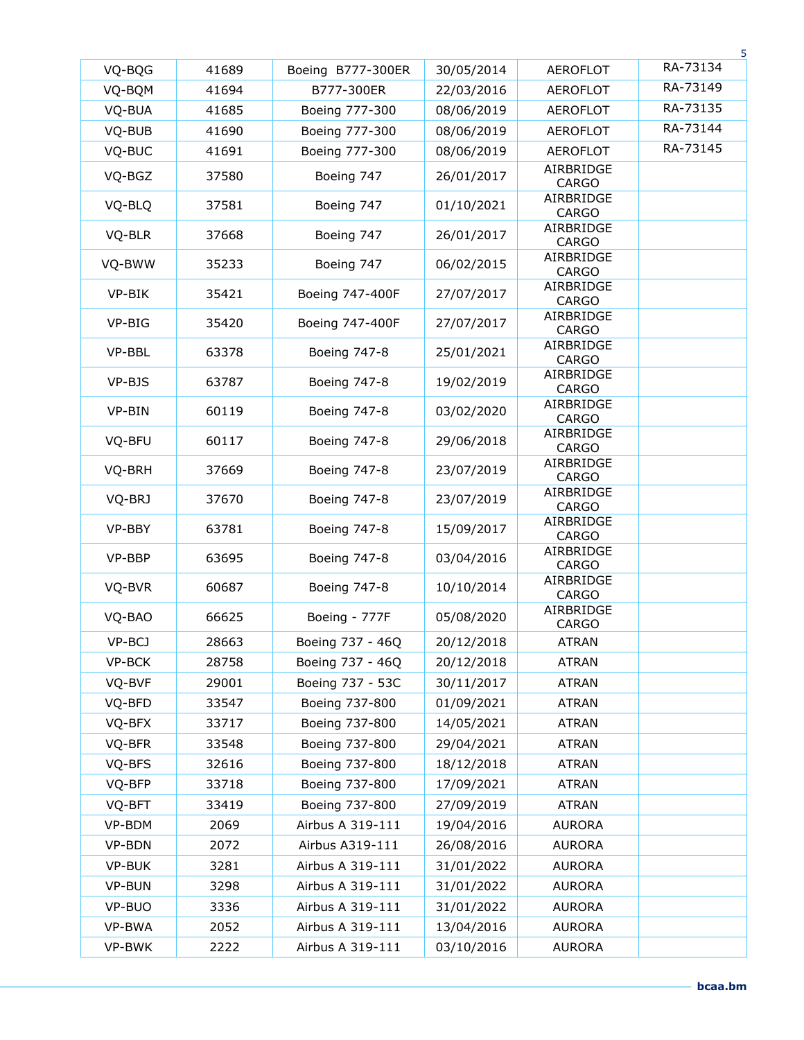| VQ-BQG | 41689 | Boeing B777-300ER   | 30/05/2014 | <b>AEROFLOT</b>                        | RA-73134 |
|--------|-------|---------------------|------------|----------------------------------------|----------|
| VQ-BQM | 41694 | B777-300ER          | 22/03/2016 | <b>AEROFLOT</b>                        | RA-73149 |
| VQ-BUA | 41685 | Boeing 777-300      | 08/06/2019 | <b>AEROFLOT</b>                        | RA-73135 |
| VQ-BUB | 41690 | Boeing 777-300      | 08/06/2019 | <b>AEROFLOT</b>                        | RA-73144 |
| VQ-BUC | 41691 | Boeing 777-300      | 08/06/2019 | <b>AEROFLOT</b>                        | RA-73145 |
| VQ-BGZ | 37580 | Boeing 747          | 26/01/2017 | AIRBRIDGE<br><b>CARGO</b>              |          |
| VQ-BLQ | 37581 | Boeing 747          | 01/10/2021 | AIRBRIDGE<br><b>CARGO</b>              |          |
| VQ-BLR | 37668 | Boeing 747          | 26/01/2017 | AIRBRIDGE<br><b>CARGO</b>              |          |
| VQ-BWW | 35233 | Boeing 747          | 06/02/2015 | AIRBRIDGE<br><b>CARGO</b>              |          |
| VP-BIK | 35421 | Boeing 747-400F     | 27/07/2017 | AIRBRIDGE<br><b>CARGO</b>              |          |
| VP-BIG | 35420 | Boeing 747-400F     | 27/07/2017 | AIRBRIDGE<br><b>CARGO</b>              |          |
| VP-BBL | 63378 | Boeing 747-8        | 25/01/2021 | AIRBRIDGE<br><b>CARGO</b>              |          |
| VP-BJS | 63787 | Boeing 747-8        | 19/02/2019 | AIRBRIDGE<br><b>CARGO</b>              |          |
| VP-BIN | 60119 | <b>Boeing 747-8</b> | 03/02/2020 | AIRBRIDGE<br><b>CARGO</b>              |          |
| VQ-BFU | 60117 | Boeing 747-8        | 29/06/2018 | AIRBRIDGE<br><b>CARGO</b>              |          |
| VQ-BRH | 37669 | Boeing 747-8        | 23/07/2019 | AIRBRIDGE<br><b>CARGO</b>              |          |
| VQ-BRJ | 37670 | Boeing 747-8        | 23/07/2019 | AIRBRIDGE<br><b>CARGO</b>              |          |
| VP-BBY | 63781 | Boeing 747-8        | 15/09/2017 | AIRBRIDGE<br><b>CARGO</b>              |          |
| VP-BBP | 63695 | Boeing 747-8        | 03/04/2016 | AIRBRIDGE<br><b>CARGO</b>              |          |
| VQ-BVR | 60687 | Boeing 747-8        | 10/10/2014 | AIRBRIDGE<br><b>CARGO</b><br>AIRBRIDGE |          |
| VQ-BAO | 66625 | Boeing - 777F       | 05/08/2020 | <b>CARGO</b>                           |          |
| VP-BCJ | 28663 | Boeing 737 - 46Q    | 20/12/2018 | <b>ATRAN</b>                           |          |
| VP-BCK | 28758 | Boeing 737 - 46Q    | 20/12/2018 | <b>ATRAN</b>                           |          |
| VQ-BVF | 29001 | Boeing 737 - 53C    | 30/11/2017 | <b>ATRAN</b>                           |          |
| VQ-BFD | 33547 | Boeing 737-800      | 01/09/2021 | <b>ATRAN</b>                           |          |
| VQ-BFX | 33717 | Boeing 737-800      | 14/05/2021 | <b>ATRAN</b>                           |          |
| VQ-BFR | 33548 | Boeing 737-800      | 29/04/2021 | <b>ATRAN</b>                           |          |
| VQ-BFS | 32616 | Boeing 737-800      | 18/12/2018 | <b>ATRAN</b>                           |          |
| VQ-BFP | 33718 | Boeing 737-800      | 17/09/2021 | <b>ATRAN</b>                           |          |
| VQ-BFT | 33419 | Boeing 737-800      | 27/09/2019 | <b>ATRAN</b>                           |          |
| VP-BDM | 2069  | Airbus A 319-111    | 19/04/2016 | <b>AURORA</b>                          |          |
| VP-BDN | 2072  | Airbus A319-111     | 26/08/2016 | <b>AURORA</b>                          |          |
| VP-BUK | 3281  | Airbus A 319-111    | 31/01/2022 | <b>AURORA</b>                          |          |
| VP-BUN | 3298  | Airbus A 319-111    | 31/01/2022 | <b>AURORA</b>                          |          |
| VP-BUO | 3336  | Airbus A 319-111    | 31/01/2022 | AURORA                                 |          |
| VP-BWA | 2052  | Airbus A 319-111    | 13/04/2016 | AURORA                                 |          |
| VP-BWK | 2222  | Airbus A 319-111    | 03/10/2016 | <b>AURORA</b>                          |          |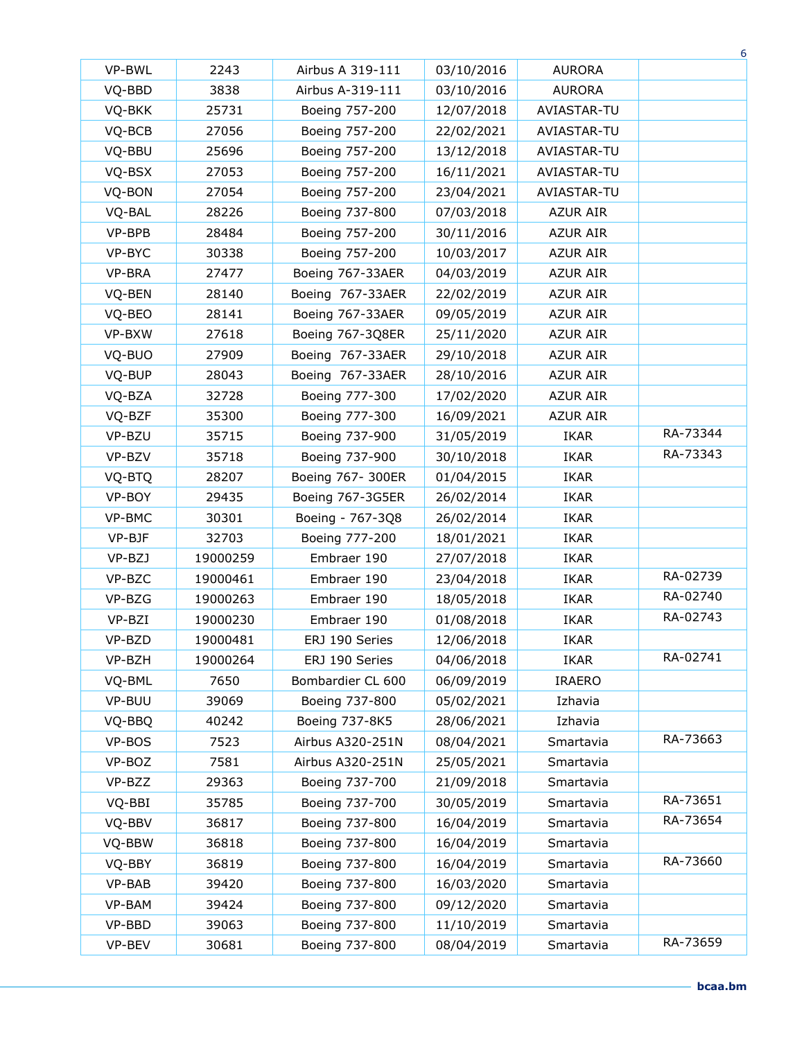|        |          |                   |            |                 | 6        |
|--------|----------|-------------------|------------|-----------------|----------|
| VP-BWL | 2243     | Airbus A 319-111  | 03/10/2016 | <b>AURORA</b>   |          |
| VQ-BBD | 3838     | Airbus A-319-111  | 03/10/2016 | <b>AURORA</b>   |          |
| VQ-BKK | 25731    | Boeing 757-200    | 12/07/2018 | AVIASTAR-TU     |          |
| VQ-BCB | 27056    | Boeing 757-200    | 22/02/2021 | AVIASTAR-TU     |          |
| VQ-BBU | 25696    | Boeing 757-200    | 13/12/2018 | AVIASTAR-TU     |          |
| VQ-BSX | 27053    | Boeing 757-200    | 16/11/2021 | AVIASTAR-TU     |          |
| VQ-BON | 27054    | Boeing 757-200    | 23/04/2021 | AVIASTAR-TU     |          |
| VQ-BAL | 28226    | Boeing 737-800    | 07/03/2018 | <b>AZUR AIR</b> |          |
| VP-BPB | 28484    | Boeing 757-200    | 30/11/2016 | <b>AZUR AIR</b> |          |
| VP-BYC | 30338    | Boeing 757-200    | 10/03/2017 | <b>AZUR AIR</b> |          |
| VP-BRA | 27477    | Boeing 767-33AER  | 04/03/2019 | <b>AZUR AIR</b> |          |
| VQ-BEN | 28140    | Boeing 767-33AER  | 22/02/2019 | <b>AZUR AIR</b> |          |
| VQ-BEO | 28141    | Boeing 767-33AER  | 09/05/2019 | <b>AZUR AIR</b> |          |
| VP-BXW | 27618    | Boeing 767-3Q8ER  | 25/11/2020 | <b>AZUR AIR</b> |          |
| VQ-BUO | 27909    | Boeing 767-33AER  | 29/10/2018 | <b>AZUR AIR</b> |          |
| VQ-BUP | 28043    | Boeing 767-33AER  | 28/10/2016 | <b>AZUR AIR</b> |          |
| VQ-BZA | 32728    | Boeing 777-300    | 17/02/2020 | <b>AZUR AIR</b> |          |
| VQ-BZF | 35300    | Boeing 777-300    | 16/09/2021 | <b>AZUR AIR</b> |          |
| VP-BZU | 35715    | Boeing 737-900    | 31/05/2019 | <b>IKAR</b>     | RA-73344 |
| VP-BZV | 35718    | Boeing 737-900    | 30/10/2018 | <b>IKAR</b>     | RA-73343 |
| VQ-BTQ | 28207    | Boeing 767- 300ER | 01/04/2015 | <b>IKAR</b>     |          |
| VP-BOY | 29435    | Boeing 767-3G5ER  | 26/02/2014 | <b>IKAR</b>     |          |
| VP-BMC | 30301    | Boeing - 767-3Q8  | 26/02/2014 | <b>IKAR</b>     |          |
| VP-BJF | 32703    | Boeing 777-200    | 18/01/2021 | <b>IKAR</b>     |          |
| VP-BZJ | 19000259 | Embraer 190       | 27/07/2018 | <b>IKAR</b>     |          |
| VP-BZC | 19000461 | Embraer 190       | 23/04/2018 | <b>IKAR</b>     | RA-02739 |
| VP-BZG | 19000263 | Embraer 190       | 18/05/2018 | <b>IKAR</b>     | RA-02740 |
| VP-BZI | 19000230 | Embraer 190       | 01/08/2018 | <b>IKAR</b>     | RA-02743 |
| VP-BZD | 19000481 | ERJ 190 Series    | 12/06/2018 | <b>IKAR</b>     |          |
| VP-BZH | 19000264 | ERJ 190 Series    | 04/06/2018 | <b>IKAR</b>     | RA-02741 |
| VQ-BML | 7650     | Bombardier CL 600 | 06/09/2019 | <b>IRAERO</b>   |          |
| VP-BUU | 39069    | Boeing 737-800    | 05/02/2021 | Izhavia         |          |
| VQ-BBQ | 40242    | Boeing 737-8K5    | 28/06/2021 | Izhavia         |          |
| VP-BOS | 7523     | Airbus A320-251N  | 08/04/2021 | Smartavia       | RA-73663 |
| VP-BOZ | 7581     | Airbus A320-251N  | 25/05/2021 | Smartavia       |          |
| VP-BZZ | 29363    | Boeing 737-700    | 21/09/2018 | Smartavia       |          |
| VQ-BBI | 35785    | Boeing 737-700    | 30/05/2019 | Smartavia       | RA-73651 |
| VQ-BBV | 36817    | Boeing 737-800    | 16/04/2019 | Smartavia       | RA-73654 |
| VQ-BBW | 36818    | Boeing 737-800    | 16/04/2019 | Smartavia       |          |
| VQ-BBY | 36819    | Boeing 737-800    | 16/04/2019 | Smartavia       | RA-73660 |
| VP-BAB | 39420    | Boeing 737-800    | 16/03/2020 | Smartavia       |          |
| VP-BAM | 39424    | Boeing 737-800    | 09/12/2020 | Smartavia       |          |
| VP-BBD | 39063    | Boeing 737-800    | 11/10/2019 | Smartavia       |          |
| VP-BEV | 30681    | Boeing 737-800    | 08/04/2019 | Smartavia       | RA-73659 |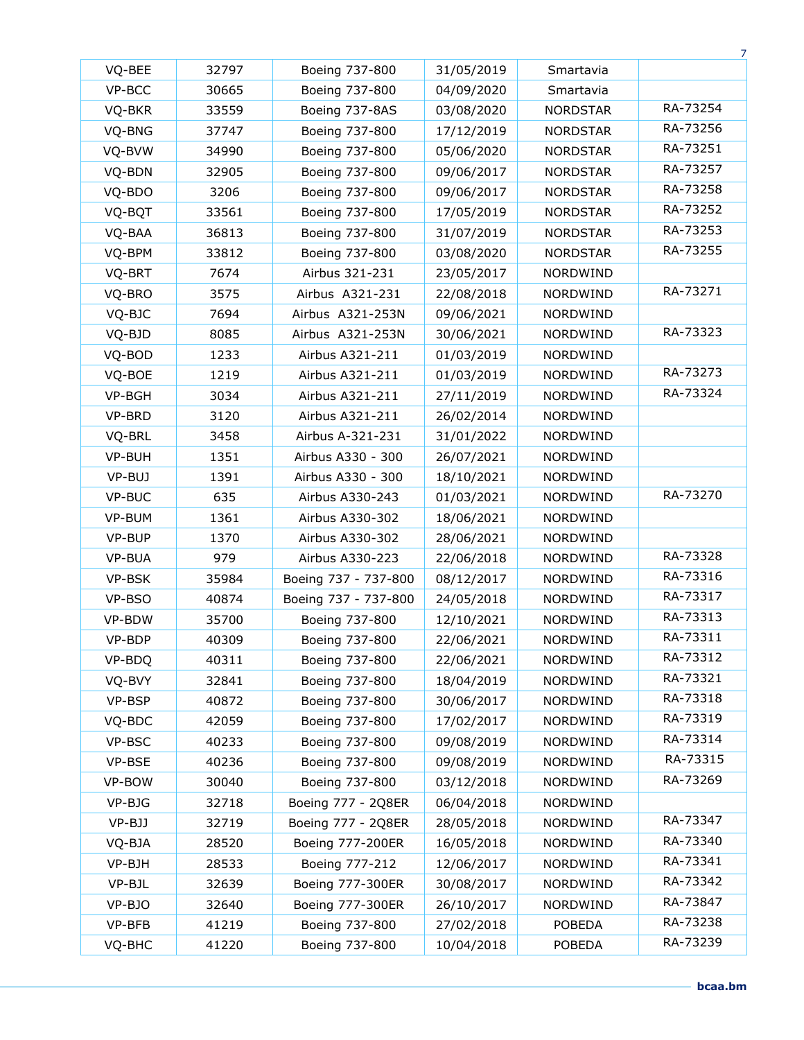|        |       |                      |            |                 | 7        |
|--------|-------|----------------------|------------|-----------------|----------|
| VQ-BEE | 32797 | Boeing 737-800       | 31/05/2019 | Smartavia       |          |
| VP-BCC | 30665 | Boeing 737-800       | 04/09/2020 | Smartavia       |          |
| VQ-BKR | 33559 | Boeing 737-8AS       | 03/08/2020 | <b>NORDSTAR</b> | RA-73254 |
| VQ-BNG | 37747 | Boeing 737-800       | 17/12/2019 | <b>NORDSTAR</b> | RA-73256 |
| VQ-BVW | 34990 | Boeing 737-800       | 05/06/2020 | <b>NORDSTAR</b> | RA-73251 |
| VQ-BDN | 32905 | Boeing 737-800       | 09/06/2017 | <b>NORDSTAR</b> | RA-73257 |
| VQ-BDO | 3206  | Boeing 737-800       | 09/06/2017 | <b>NORDSTAR</b> | RA-73258 |
| VQ-BQT | 33561 | Boeing 737-800       | 17/05/2019 | <b>NORDSTAR</b> | RA-73252 |
| VQ-BAA | 36813 | Boeing 737-800       | 31/07/2019 | <b>NORDSTAR</b> | RA-73253 |
| VQ-BPM | 33812 | Boeing 737-800       | 03/08/2020 | <b>NORDSTAR</b> | RA-73255 |
| VQ-BRT | 7674  | Airbus 321-231       | 23/05/2017 | NORDWIND        |          |
| VQ-BRO | 3575  | Airbus A321-231      | 22/08/2018 | NORDWIND        | RA-73271 |
| VQ-BJC | 7694  | Airbus A321-253N     | 09/06/2021 | NORDWIND        |          |
| VQ-BJD | 8085  | Airbus A321-253N     | 30/06/2021 | NORDWIND        | RA-73323 |
| VQ-BOD | 1233  | Airbus A321-211      | 01/03/2019 | NORDWIND        |          |
| VQ-BOE | 1219  | Airbus A321-211      | 01/03/2019 | NORDWIND        | RA-73273 |
| VP-BGH | 3034  | Airbus A321-211      | 27/11/2019 | NORDWIND        | RA-73324 |
| VP-BRD | 3120  | Airbus A321-211      | 26/02/2014 | <b>NORDWIND</b> |          |
| VQ-BRL | 3458  | Airbus A-321-231     | 31/01/2022 | NORDWIND        |          |
| VP-BUH | 1351  | Airbus A330 - 300    | 26/07/2021 | <b>NORDWIND</b> |          |
| VP-BUJ | 1391  | Airbus A330 - 300    | 18/10/2021 | NORDWIND        |          |
| VP-BUC | 635   | Airbus A330-243      | 01/03/2021 | NORDWIND        | RA-73270 |
| VP-BUM | 1361  | Airbus A330-302      | 18/06/2021 | NORDWIND        |          |
| VP-BUP | 1370  | Airbus A330-302      | 28/06/2021 | NORDWIND        |          |
| VP-BUA | 979   | Airbus A330-223      | 22/06/2018 | <b>NORDWIND</b> | RA-73328 |
| VP-BSK | 35984 | Boeing 737 - 737-800 | 08/12/2017 | NORDWIND        | RA-73316 |
| VP-BSO | 40874 | Boeing 737 - 737-800 | 24/05/2018 | NORDWIND        | RA-73317 |
| VP-BDW | 35700 | Boeing 737-800       | 12/10/2021 | <b>NORDWIND</b> | RA-73313 |
| VP-BDP | 40309 | Boeing 737-800       | 22/06/2021 | NORDWIND        | RA-73311 |
| VP-BDQ | 40311 | Boeing 737-800       | 22/06/2021 | NORDWIND        | RA-73312 |
| VQ-BVY | 32841 | Boeing 737-800       | 18/04/2019 | NORDWIND        | RA-73321 |
| VP-BSP | 40872 | Boeing 737-800       | 30/06/2017 | NORDWIND        | RA-73318 |
| VQ-BDC | 42059 | Boeing 737-800       | 17/02/2017 | NORDWIND        | RA-73319 |
| VP-BSC | 40233 | Boeing 737-800       | 09/08/2019 | NORDWIND        | RA-73314 |
| VP-BSE | 40236 | Boeing 737-800       | 09/08/2019 | NORDWIND        | RA-73315 |
| VP-BOW | 30040 | Boeing 737-800       | 03/12/2018 | NORDWIND        | RA-73269 |
| VP-BJG | 32718 | Boeing 777 - 2Q8ER   | 06/04/2018 | NORDWIND        |          |
| VP-BJJ | 32719 | Boeing 777 - 2Q8ER   | 28/05/2018 | NORDWIND        | RA-73347 |
| VQ-BJA | 28520 | Boeing 777-200ER     | 16/05/2018 | NORDWIND        | RA-73340 |
| VP-BJH | 28533 | Boeing 777-212       | 12/06/2017 | NORDWIND        | RA-73341 |
| VP-BJL | 32639 | Boeing 777-300ER     | 30/08/2017 | NORDWIND        | RA-73342 |
| VP-BJO | 32640 | Boeing 777-300ER     | 26/10/2017 | NORDWIND        | RA-73847 |
| VP-BFB | 41219 | Boeing 737-800       | 27/02/2018 | <b>POBEDA</b>   | RA-73238 |
| VQ-BHC | 41220 | Boeing 737-800       | 10/04/2018 | POBEDA          | RA-73239 |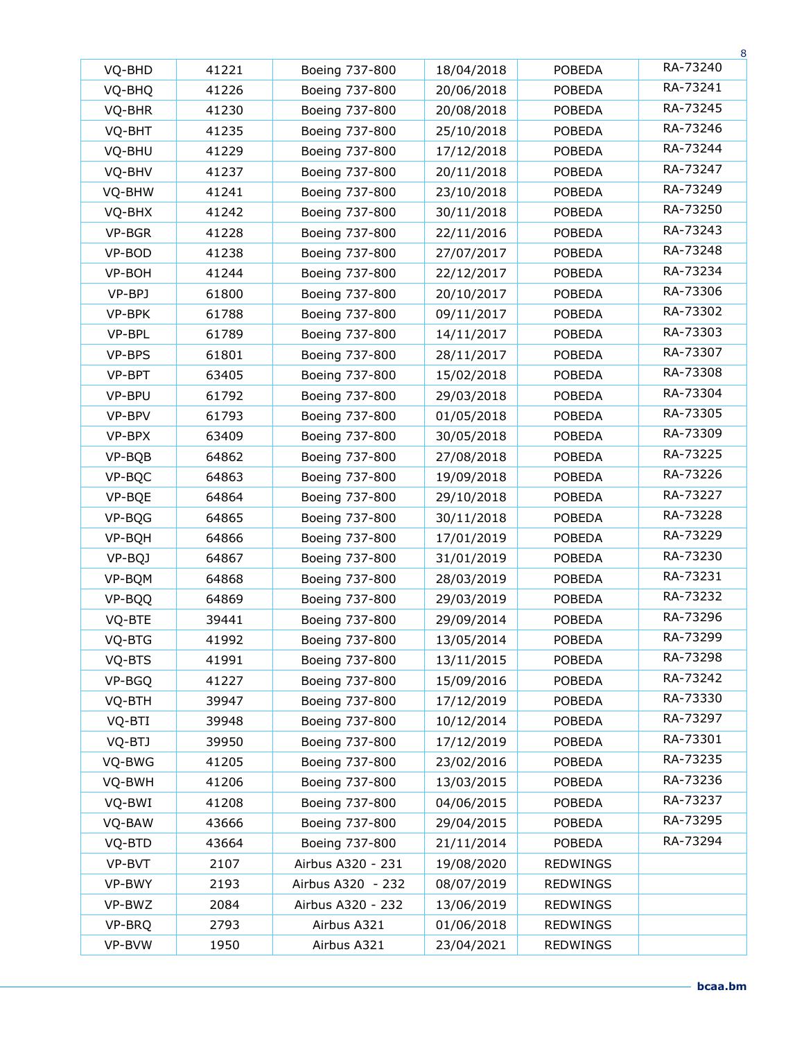|        |       |                   |            |                 | 8        |
|--------|-------|-------------------|------------|-----------------|----------|
| VQ-BHD | 41221 | Boeing 737-800    | 18/04/2018 | <b>POBEDA</b>   | RA-73240 |
| VQ-BHQ | 41226 | Boeing 737-800    | 20/06/2018 | <b>POBEDA</b>   | RA-73241 |
| VQ-BHR | 41230 | Boeing 737-800    | 20/08/2018 | <b>POBEDA</b>   | RA-73245 |
| VQ-BHT | 41235 | Boeing 737-800    | 25/10/2018 | <b>POBEDA</b>   | RA-73246 |
| VQ-BHU | 41229 | Boeing 737-800    | 17/12/2018 | <b>POBEDA</b>   | RA-73244 |
| VQ-BHV | 41237 | Boeing 737-800    | 20/11/2018 | <b>POBEDA</b>   | RA-73247 |
| VQ-BHW | 41241 | Boeing 737-800    | 23/10/2018 | <b>POBEDA</b>   | RA-73249 |
| VQ-BHX | 41242 | Boeing 737-800    | 30/11/2018 | <b>POBEDA</b>   | RA-73250 |
| VP-BGR | 41228 | Boeing 737-800    | 22/11/2016 | <b>POBEDA</b>   | RA-73243 |
| VP-BOD | 41238 | Boeing 737-800    | 27/07/2017 | <b>POBEDA</b>   | RA-73248 |
| VP-BOH | 41244 | Boeing 737-800    | 22/12/2017 | <b>POBEDA</b>   | RA-73234 |
| VP-BPJ | 61800 | Boeing 737-800    | 20/10/2017 | <b>POBEDA</b>   | RA-73306 |
| VP-BPK | 61788 | Boeing 737-800    | 09/11/2017 | <b>POBEDA</b>   | RA-73302 |
| VP-BPL | 61789 | Boeing 737-800    | 14/11/2017 | <b>POBEDA</b>   | RA-73303 |
| VP-BPS | 61801 | Boeing 737-800    | 28/11/2017 | <b>POBEDA</b>   | RA-73307 |
| VP-BPT | 63405 | Boeing 737-800    | 15/02/2018 | <b>POBEDA</b>   | RA-73308 |
| VP-BPU | 61792 | Boeing 737-800    | 29/03/2018 | <b>POBEDA</b>   | RA-73304 |
| VP-BPV | 61793 | Boeing 737-800    | 01/05/2018 | <b>POBEDA</b>   | RA-73305 |
| VP-BPX | 63409 | Boeing 737-800    | 30/05/2018 | <b>POBEDA</b>   | RA-73309 |
| VP-BQB | 64862 | Boeing 737-800    | 27/08/2018 | <b>POBEDA</b>   | RA-73225 |
| VP-BQC | 64863 | Boeing 737-800    | 19/09/2018 | <b>POBEDA</b>   | RA-73226 |
| VP-BQE | 64864 | Boeing 737-800    | 29/10/2018 | <b>POBEDA</b>   | RA-73227 |
| VP-BQG | 64865 | Boeing 737-800    | 30/11/2018 | <b>POBEDA</b>   | RA-73228 |
| VP-BQH | 64866 | Boeing 737-800    | 17/01/2019 | <b>POBEDA</b>   | RA-73229 |
| VP-BQJ | 64867 | Boeing 737-800    | 31/01/2019 | <b>POBEDA</b>   | RA-73230 |
| VP-BQM | 64868 | Boeing 737-800    | 28/03/2019 | <b>POBEDA</b>   | RA-73231 |
| VP-BQQ | 64869 | Boeing 737-800    | 29/03/2019 | <b>POBEDA</b>   | RA-73232 |
| VQ-BTE | 39441 | Boeing 737-800    | 29/09/2014 | <b>POBEDA</b>   | RA-73296 |
| VQ-BTG | 41992 | Boeing 737-800    | 13/05/2014 | <b>POBEDA</b>   | RA-73299 |
| VQ-BTS | 41991 | Boeing 737-800    | 13/11/2015 | <b>POBEDA</b>   | RA-73298 |
| VP-BGQ | 41227 | Boeing 737-800    | 15/09/2016 | <b>POBEDA</b>   | RA-73242 |
| VQ-BTH | 39947 | Boeing 737-800    | 17/12/2019 | <b>POBEDA</b>   | RA-73330 |
| VQ-BTI | 39948 | Boeing 737-800    | 10/12/2014 | <b>POBEDA</b>   | RA-73297 |
| VQ-BTJ | 39950 | Boeing 737-800    | 17/12/2019 | POBEDA          | RA-73301 |
| VQ-BWG | 41205 | Boeing 737-800    | 23/02/2016 | <b>POBEDA</b>   | RA-73235 |
| VQ-BWH | 41206 | Boeing 737-800    | 13/03/2015 | <b>POBEDA</b>   | RA-73236 |
| VQ-BWI | 41208 | Boeing 737-800    | 04/06/2015 | <b>POBEDA</b>   | RA-73237 |
| VQ-BAW | 43666 | Boeing 737-800    | 29/04/2015 | <b>POBEDA</b>   | RA-73295 |
| VQ-BTD | 43664 | Boeing 737-800    | 21/11/2014 | <b>POBEDA</b>   | RA-73294 |
| VP-BVT | 2107  | Airbus A320 - 231 | 19/08/2020 | <b>REDWINGS</b> |          |
| VP-BWY | 2193  | Airbus A320 - 232 | 08/07/2019 | <b>REDWINGS</b> |          |
| VP-BWZ | 2084  | Airbus A320 - 232 | 13/06/2019 | REDWINGS        |          |
| VP-BRQ | 2793  | Airbus A321       | 01/06/2018 | <b>REDWINGS</b> |          |
| VP-BVW | 1950  | Airbus A321       | 23/04/2021 | <b>REDWINGS</b> |          |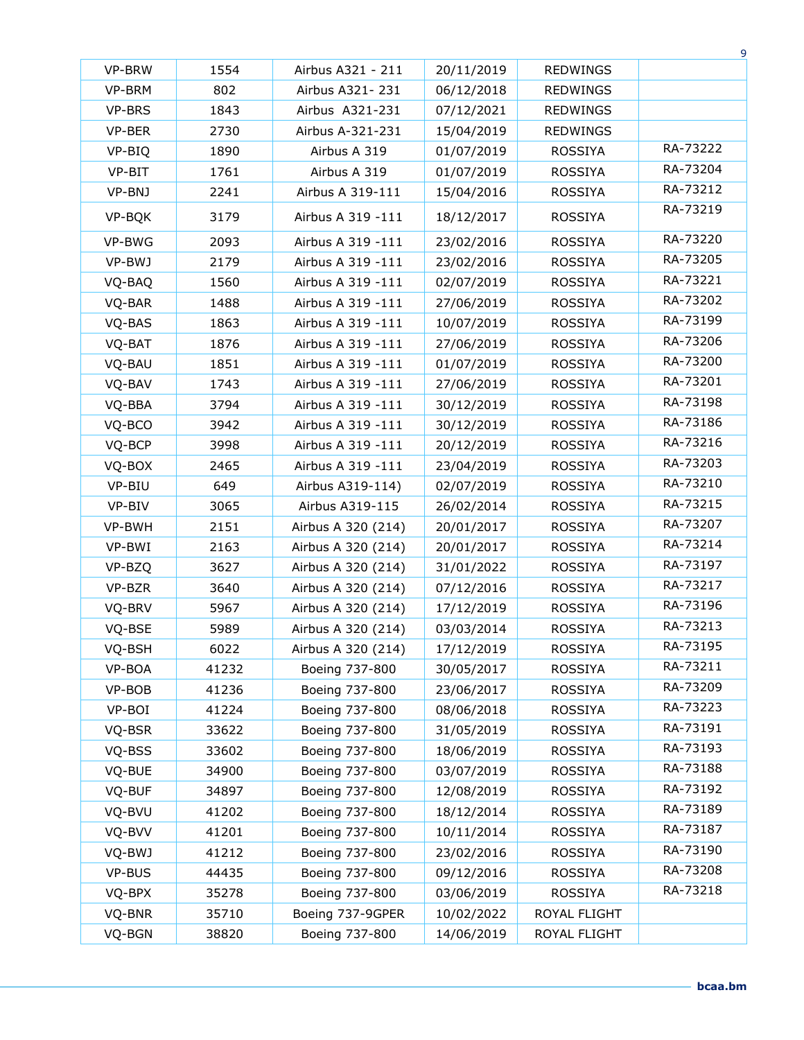|        |       |                    |            |                 | 9        |
|--------|-------|--------------------|------------|-----------------|----------|
| VP-BRW | 1554  | Airbus A321 - 211  | 20/11/2019 | REDWINGS        |          |
| VP-BRM | 802   | Airbus A321-231    | 06/12/2018 | <b>REDWINGS</b> |          |
| VP-BRS | 1843  | Airbus A321-231    | 07/12/2021 | <b>REDWINGS</b> |          |
| VP-BER | 2730  | Airbus A-321-231   | 15/04/2019 | <b>REDWINGS</b> |          |
| VP-BIQ | 1890  | Airbus A 319       | 01/07/2019 | <b>ROSSIYA</b>  | RA-73222 |
| VP-BIT | 1761  | Airbus A 319       | 01/07/2019 | ROSSIYA         | RA-73204 |
| VP-BNJ | 2241  | Airbus A 319-111   | 15/04/2016 | <b>ROSSIYA</b>  | RA-73212 |
| VP-BQK | 3179  | Airbus A 319 -111  | 18/12/2017 | <b>ROSSIYA</b>  | RA-73219 |
| VP-BWG | 2093  | Airbus A 319 -111  | 23/02/2016 | ROSSIYA         | RA-73220 |
| VP-BWJ | 2179  | Airbus A 319 -111  | 23/02/2016 | ROSSIYA         | RA-73205 |
| VQ-BAQ | 1560  | Airbus A 319 -111  | 02/07/2019 | ROSSIYA         | RA-73221 |
| VQ-BAR | 1488  | Airbus A 319 -111  | 27/06/2019 | ROSSIYA         | RA-73202 |
| VQ-BAS | 1863  | Airbus A 319 -111  | 10/07/2019 | <b>ROSSIYA</b>  | RA-73199 |
| VQ-BAT | 1876  | Airbus A 319 -111  | 27/06/2019 | <b>ROSSIYA</b>  | RA-73206 |
| VQ-BAU | 1851  | Airbus A 319 -111  | 01/07/2019 | <b>ROSSIYA</b>  | RA-73200 |
| VQ-BAV | 1743  | Airbus A 319 -111  | 27/06/2019 | <b>ROSSIYA</b>  | RA-73201 |
| VQ-BBA | 3794  | Airbus A 319 -111  | 30/12/2019 | <b>ROSSIYA</b>  | RA-73198 |
| VQ-BCO | 3942  | Airbus A 319 -111  | 30/12/2019 | ROSSIYA         | RA-73186 |
| VQ-BCP | 3998  | Airbus A 319 -111  | 20/12/2019 | <b>ROSSIYA</b>  | RA-73216 |
| VQ-BOX | 2465  | Airbus A 319 -111  | 23/04/2019 | <b>ROSSIYA</b>  | RA-73203 |
| VP-BIU | 649   | Airbus A319-114)   | 02/07/2019 | ROSSIYA         | RA-73210 |
| VP-BIV | 3065  | Airbus A319-115    | 26/02/2014 | ROSSIYA         | RA-73215 |
| VP-BWH | 2151  | Airbus A 320 (214) | 20/01/2017 | <b>ROSSIYA</b>  | RA-73207 |
| VP-BWI | 2163  | Airbus A 320 (214) | 20/01/2017 | <b>ROSSIYA</b>  | RA-73214 |
| VP-BZQ | 3627  | Airbus A 320 (214) | 31/01/2022 | <b>ROSSIYA</b>  | RA-73197 |
| VP-BZR | 3640  | Airbus A 320 (214) | 07/12/2016 | <b>ROSSIYA</b>  | RA-73217 |
| VQ-BRV | 5967  | Airbus A 320 (214) | 17/12/2019 | ROSSIYA         | RA-73196 |
| VQ-BSE | 5989  | Airbus A 320 (214) | 03/03/2014 | <b>ROSSIYA</b>  | RA-73213 |
| VQ-BSH | 6022  | Airbus A 320 (214) | 17/12/2019 | ROSSIYA         | RA-73195 |
| VP-BOA | 41232 | Boeing 737-800     | 30/05/2017 | ROSSIYA         | RA-73211 |
| VP-BOB | 41236 | Boeing 737-800     | 23/06/2017 | <b>ROSSIYA</b>  | RA-73209 |
| VP-BOI | 41224 | Boeing 737-800     | 08/06/2018 | <b>ROSSIYA</b>  | RA-73223 |
| VQ-BSR | 33622 | Boeing 737-800     | 31/05/2019 | ROSSIYA         | RA-73191 |
| VQ-BSS | 33602 | Boeing 737-800     | 18/06/2019 | ROSSIYA         | RA-73193 |
| VQ-BUE | 34900 | Boeing 737-800     | 03/07/2019 | <b>ROSSIYA</b>  | RA-73188 |
| VQ-BUF | 34897 | Boeing 737-800     | 12/08/2019 | ROSSIYA         | RA-73192 |
| VQ-BVU | 41202 | Boeing 737-800     | 18/12/2014 | ROSSIYA         | RA-73189 |
| VQ-BVV | 41201 | Boeing 737-800     | 10/11/2014 | <b>ROSSIYA</b>  | RA-73187 |
| VQ-BWJ | 41212 | Boeing 737-800     | 23/02/2016 | ROSSIYA         | RA-73190 |
| VP-BUS | 44435 | Boeing 737-800     | 09/12/2016 | ROSSIYA         | RA-73208 |
| VQ-BPX | 35278 | Boeing 737-800     | 03/06/2019 | ROSSIYA         | RA-73218 |
| VQ-BNR | 35710 | Boeing 737-9GPER   | 10/02/2022 | ROYAL FLIGHT    |          |
| VQ-BGN | 38820 | Boeing 737-800     | 14/06/2019 | ROYAL FLIGHT    |          |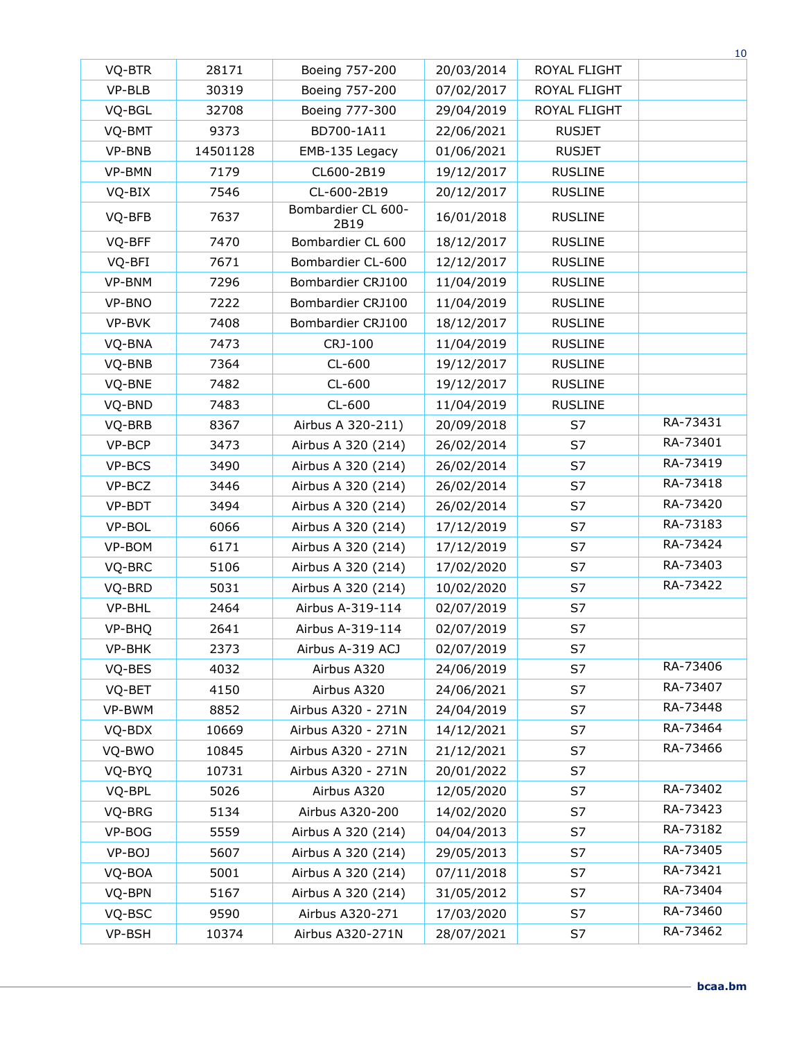|        |          |                            |            |                | $10\,$   |
|--------|----------|----------------------------|------------|----------------|----------|
| VQ-BTR | 28171    | Boeing 757-200             | 20/03/2014 | ROYAL FLIGHT   |          |
| VP-BLB | 30319    | Boeing 757-200             | 07/02/2017 | ROYAL FLIGHT   |          |
| VQ-BGL | 32708    | Boeing 777-300             | 29/04/2019 | ROYAL FLIGHT   |          |
| VQ-BMT | 9373     | BD700-1A11                 | 22/06/2021 | <b>RUSJET</b>  |          |
| VP-BNB | 14501128 | EMB-135 Legacy             | 01/06/2021 | <b>RUSJET</b>  |          |
| VP-BMN | 7179     | CL600-2B19                 | 19/12/2017 | <b>RUSLINE</b> |          |
| VQ-BIX | 7546     | CL-600-2B19                | 20/12/2017 | <b>RUSLINE</b> |          |
| VQ-BFB | 7637     | Bombardier CL 600-<br>2B19 | 16/01/2018 | <b>RUSLINE</b> |          |
| VQ-BFF | 7470     | Bombardier CL 600          | 18/12/2017 | <b>RUSLINE</b> |          |
| VQ-BFI | 7671     | Bombardier CL-600          | 12/12/2017 | <b>RUSLINE</b> |          |
| VP-BNM | 7296     | Bombardier CRJ100          | 11/04/2019 | <b>RUSLINE</b> |          |
| VP-BNO | 7222     | Bombardier CRJ100          | 11/04/2019 | <b>RUSLINE</b> |          |
| VP-BVK | 7408     | Bombardier CRJ100          | 18/12/2017 | <b>RUSLINE</b> |          |
| VQ-BNA | 7473     | CRJ-100                    | 11/04/2019 | <b>RUSLINE</b> |          |
| VQ-BNB | 7364     | CL-600                     | 19/12/2017 | <b>RUSLINE</b> |          |
| VQ-BNE | 7482     | CL-600                     | 19/12/2017 | <b>RUSLINE</b> |          |
| VQ-BND | 7483     | $CL-600$                   | 11/04/2019 | <b>RUSLINE</b> |          |
| VQ-BRB | 8367     | Airbus A 320-211)          | 20/09/2018 | S7             | RA-73431 |
| VP-BCP | 3473     | Airbus A 320 (214)         | 26/02/2014 | S7             | RA-73401 |
| VP-BCS | 3490     | Airbus A 320 (214)         | 26/02/2014 | S7             | RA-73419 |
| VP-BCZ | 3446     | Airbus A 320 (214)         | 26/02/2014 | S7             | RA-73418 |
| VP-BDT | 3494     | Airbus A 320 (214)         | 26/02/2014 | S7             | RA-73420 |
| VP-BOL | 6066     | Airbus A 320 (214)         | 17/12/2019 | S7             | RA-73183 |
| VP-BOM | 6171     | Airbus A 320 (214)         | 17/12/2019 | S7             | RA-73424 |
| VQ-BRC | 5106     | Airbus A 320 (214)         | 17/02/2020 | S7             | RA-73403 |
| VQ-BRD | 5031     | Airbus A 320 (214)         | 10/02/2020 | S7             | RA-73422 |
| VP-BHL | 2464     | Airbus A-319-114           | 02/07/2019 | S7             |          |
| VP-BHQ | 2641     | Airbus A-319-114           | 02/07/2019 | S7             |          |
| VP-BHK | 2373     | Airbus A-319 ACJ           | 02/07/2019 | S7             |          |
| VQ-BES | 4032     | Airbus A320                | 24/06/2019 | S7             | RA-73406 |
| VQ-BET | 4150     | Airbus A320                | 24/06/2021 | S7             | RA-73407 |
| VP-BWM | 8852     | Airbus A320 - 271N         | 24/04/2019 | S7             | RA-73448 |
| VQ-BDX | 10669    | Airbus A320 - 271N         | 14/12/2021 | S7             | RA-73464 |
| VQ-BWO | 10845    | Airbus A320 - 271N         | 21/12/2021 | S7             | RA-73466 |
| VQ-BYQ | 10731    | Airbus A320 - 271N         | 20/01/2022 | S7             |          |
| VQ-BPL | 5026     | Airbus A320                | 12/05/2020 | S7             | RA-73402 |
| VQ-BRG | 5134     | Airbus A320-200            | 14/02/2020 | S7             | RA-73423 |
| VP-BOG | 5559     | Airbus A 320 (214)         | 04/04/2013 | S7             | RA-73182 |
| VP-BOJ | 5607     | Airbus A 320 (214)         | 29/05/2013 | S7             | RA-73405 |
| VQ-BOA | 5001     | Airbus A 320 (214)         | 07/11/2018 | S7             | RA-73421 |
| VQ-BPN | 5167     | Airbus A 320 (214)         | 31/05/2012 | S7             | RA-73404 |
| VQ-BSC | 9590     | Airbus A320-271            | 17/03/2020 | S7             | RA-73460 |
| VP-BSH | 10374    | Airbus A320-271N           | 28/07/2021 | S7             | RA-73462 |
|        |          |                            |            |                |          |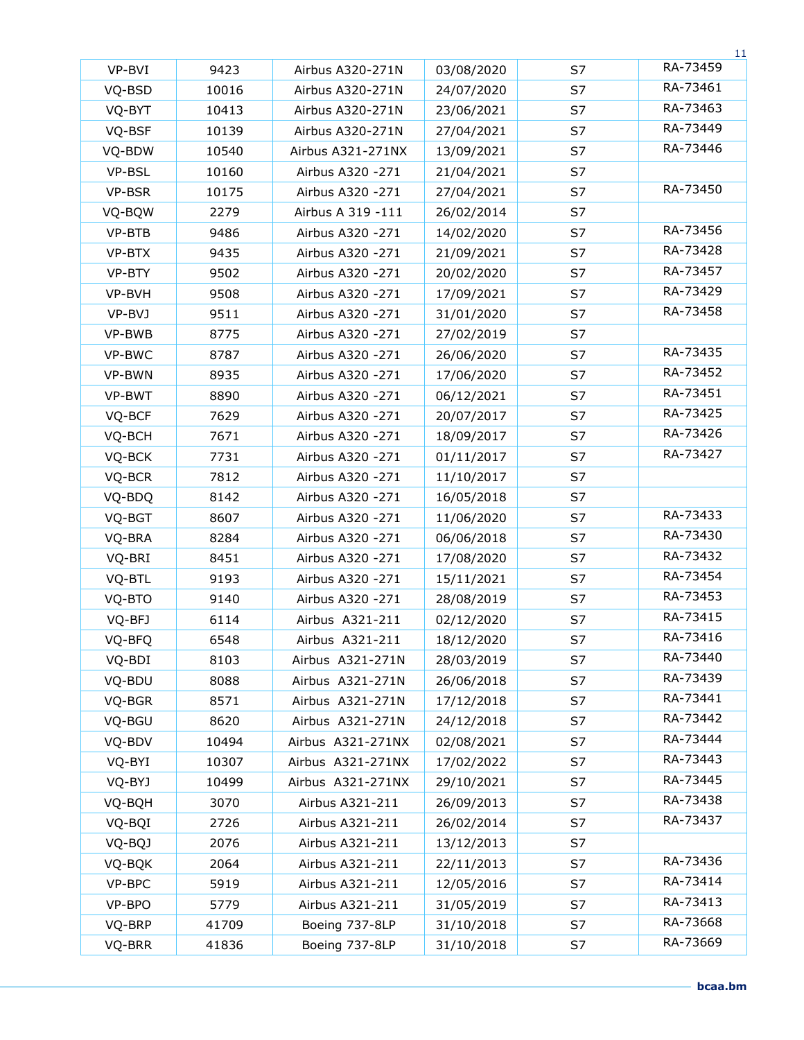|        |       |                   |            |    | 11       |
|--------|-------|-------------------|------------|----|----------|
| VP-BVI | 9423  | Airbus A320-271N  | 03/08/2020 | S7 | RA-73459 |
| VQ-BSD | 10016 | Airbus A320-271N  | 24/07/2020 | S7 | RA-73461 |
| VQ-BYT | 10413 | Airbus A320-271N  | 23/06/2021 | S7 | RA-73463 |
| VQ-BSF | 10139 | Airbus A320-271N  | 27/04/2021 | S7 | RA-73449 |
| VQ-BDW | 10540 | Airbus A321-271NX | 13/09/2021 | S7 | RA-73446 |
| VP-BSL | 10160 | Airbus A320 -271  | 21/04/2021 | S7 |          |
| VP-BSR | 10175 | Airbus A320 -271  | 27/04/2021 | S7 | RA-73450 |
| VQ-BQW | 2279  | Airbus A 319 -111 | 26/02/2014 | S7 |          |
| VP-BTB | 9486  | Airbus A320 -271  | 14/02/2020 | S7 | RA-73456 |
| VP-BTX | 9435  | Airbus A320 -271  | 21/09/2021 | S7 | RA-73428 |
| VP-BTY | 9502  | Airbus A320 -271  | 20/02/2020 | S7 | RA-73457 |
| VP-BVH | 9508  | Airbus A320 -271  | 17/09/2021 | S7 | RA-73429 |
| VP-BVJ | 9511  | Airbus A320 -271  | 31/01/2020 | S7 | RA-73458 |
| VP-BWB | 8775  | Airbus A320 -271  | 27/02/2019 | S7 |          |
| VP-BWC | 8787  | Airbus A320 -271  | 26/06/2020 | S7 | RA-73435 |
| VP-BWN | 8935  | Airbus A320 -271  | 17/06/2020 | S7 | RA-73452 |
| VP-BWT | 8890  | Airbus A320 -271  | 06/12/2021 | S7 | RA-73451 |
| VQ-BCF | 7629  | Airbus A320 -271  | 20/07/2017 | S7 | RA-73425 |
| VQ-BCH | 7671  | Airbus A320 -271  | 18/09/2017 | S7 | RA-73426 |
| VQ-BCK | 7731  | Airbus A320 -271  | 01/11/2017 | S7 | RA-73427 |
| VQ-BCR | 7812  | Airbus A320 -271  | 11/10/2017 | S7 |          |
| VQ-BDQ | 8142  | Airbus A320 -271  | 16/05/2018 | S7 |          |
| VQ-BGT | 8607  | Airbus A320 -271  | 11/06/2020 | S7 | RA-73433 |
| VQ-BRA | 8284  | Airbus A320 -271  | 06/06/2018 | S7 | RA-73430 |
| VQ-BRI | 8451  | Airbus A320 -271  | 17/08/2020 | S7 | RA-73432 |
| VQ-BTL | 9193  | Airbus A320 - 271 | 15/11/2021 | S7 | RA-73454 |
| VQ-BTO | 9140  | Airbus A320 -271  | 28/08/2019 | S7 | RA-73453 |
| VQ-BFJ | 6114  | Airbus A321-211   | 02/12/2020 | S7 | RA-73415 |
| VQ-BFQ | 6548  | Airbus A321-211   | 18/12/2020 | S7 | RA-73416 |
| VQ-BDI | 8103  | Airbus A321-271N  | 28/03/2019 | S7 | RA-73440 |
| VQ-BDU | 8088  | Airbus A321-271N  | 26/06/2018 | S7 | RA-73439 |
| VQ-BGR | 8571  | Airbus A321-271N  | 17/12/2018 | S7 | RA-73441 |
| VQ-BGU | 8620  | Airbus A321-271N  | 24/12/2018 | S7 | RA-73442 |
| VQ-BDV | 10494 | Airbus A321-271NX | 02/08/2021 | S7 | RA-73444 |
| VQ-BYI | 10307 | Airbus A321-271NX | 17/02/2022 | S7 | RA-73443 |
| VQ-BYJ | 10499 | Airbus A321-271NX | 29/10/2021 | S7 | RA-73445 |
| VQ-BQH | 3070  | Airbus A321-211   | 26/09/2013 | S7 | RA-73438 |
| VQ-BQI | 2726  | Airbus A321-211   | 26/02/2014 | S7 | RA-73437 |
| VQ-BQJ | 2076  | Airbus A321-211   | 13/12/2013 | S7 |          |
| VQ-BQK | 2064  | Airbus A321-211   | 22/11/2013 | S7 | RA-73436 |
| VP-BPC | 5919  | Airbus A321-211   | 12/05/2016 | S7 | RA-73414 |
| VP-BPO | 5779  | Airbus A321-211   | 31/05/2019 | S7 | RA-73413 |
| VQ-BRP | 41709 | Boeing 737-8LP    | 31/10/2018 | S7 | RA-73668 |
| VQ-BRR | 41836 | Boeing 737-8LP    | 31/10/2018 | S7 | RA-73669 |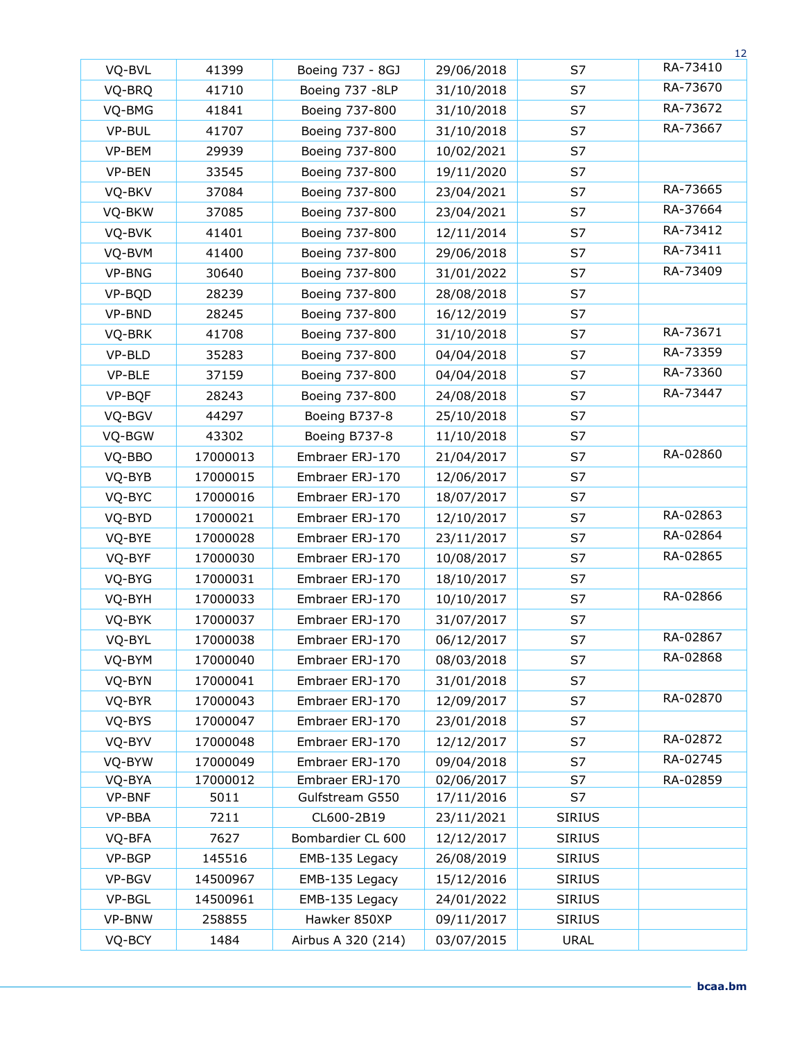|        |          |                    |            |               | 12       |
|--------|----------|--------------------|------------|---------------|----------|
| VQ-BVL | 41399    | Boeing 737 - 8GJ   | 29/06/2018 | S7            | RA-73410 |
| VQ-BRQ | 41710    | Boeing 737 -8LP    | 31/10/2018 | S7            | RA-73670 |
| VQ-BMG | 41841    | Boeing 737-800     | 31/10/2018 | S7            | RA-73672 |
| VP-BUL | 41707    | Boeing 737-800     | 31/10/2018 | S7            | RA-73667 |
| VP-BEM | 29939    | Boeing 737-800     | 10/02/2021 | S7            |          |
| VP-BEN | 33545    | Boeing 737-800     | 19/11/2020 | S7            |          |
| VQ-BKV | 37084    | Boeing 737-800     | 23/04/2021 | S7            | RA-73665 |
| VQ-BKW | 37085    | Boeing 737-800     | 23/04/2021 | S7            | RA-37664 |
| VQ-BVK | 41401    | Boeing 737-800     | 12/11/2014 | S7            | RA-73412 |
| VQ-BVM | 41400    | Boeing 737-800     | 29/06/2018 | S7            | RA-73411 |
| VP-BNG | 30640    | Boeing 737-800     | 31/01/2022 | S7            | RA-73409 |
| VP-BQD | 28239    | Boeing 737-800     | 28/08/2018 | S7            |          |
| VP-BND | 28245    | Boeing 737-800     | 16/12/2019 | S7            |          |
| VQ-BRK | 41708    | Boeing 737-800     | 31/10/2018 | S7            | RA-73671 |
| VP-BLD | 35283    | Boeing 737-800     | 04/04/2018 | S7            | RA-73359 |
| VP-BLE | 37159    | Boeing 737-800     | 04/04/2018 | S7            | RA-73360 |
| VP-BQF | 28243    | Boeing 737-800     | 24/08/2018 | S7            | RA-73447 |
| VQ-BGV | 44297    | Boeing B737-8      | 25/10/2018 | S7            |          |
| VQ-BGW | 43302    | Boeing B737-8      | 11/10/2018 | S7            |          |
| VQ-BBO | 17000013 | Embraer ERJ-170    | 21/04/2017 | S7            | RA-02860 |
| VQ-BYB | 17000015 | Embraer ERJ-170    | 12/06/2017 | S7            |          |
| VQ-BYC | 17000016 | Embraer ERJ-170    | 18/07/2017 | S7            |          |
| VQ-BYD | 17000021 | Embraer ERJ-170    | 12/10/2017 | S7            | RA-02863 |
| VQ-BYE | 17000028 | Embraer ERJ-170    | 23/11/2017 | S7            | RA-02864 |
| VQ-BYF | 17000030 | Embraer ERJ-170    | 10/08/2017 | S7            | RA-02865 |
| VQ-BYG | 17000031 | Embraer ERJ-170    | 18/10/2017 | S7            |          |
| VQ-BYH | 17000033 | Embraer ERJ-170    | 10/10/2017 | S7            | RA-02866 |
| VQ-BYK | 17000037 | Embraer ERJ-170    | 31/07/2017 | S7            |          |
| VQ-BYL | 17000038 | Embraer ERJ-170    | 06/12/2017 | S7            | RA-02867 |
| VQ-BYM | 17000040 | Embraer ERJ-170    | 08/03/2018 | S7            | RA-02868 |
| VQ-BYN | 17000041 | Embraer ERJ-170    | 31/01/2018 | S7            |          |
| VQ-BYR | 17000043 | Embraer ERJ-170    | 12/09/2017 | S7            | RA-02870 |
| VQ-BYS | 17000047 | Embraer ERJ-170    | 23/01/2018 | S7            |          |
| VQ-BYV | 17000048 | Embraer ERJ-170    | 12/12/2017 | S7            | RA-02872 |
| VQ-BYW | 17000049 | Embraer ERJ-170    | 09/04/2018 | S7            | RA-02745 |
| VQ-BYA | 17000012 | Embraer ERJ-170    | 02/06/2017 | S7            | RA-02859 |
| VP-BNF | 5011     | Gulfstream G550    | 17/11/2016 | S7            |          |
| VP-BBA | 7211     | CL600-2B19         | 23/11/2021 | <b>SIRIUS</b> |          |
| VQ-BFA | 7627     | Bombardier CL 600  | 12/12/2017 | <b>SIRIUS</b> |          |
| VP-BGP | 145516   | EMB-135 Legacy     | 26/08/2019 | <b>SIRIUS</b> |          |
| VP-BGV | 14500967 | EMB-135 Legacy     | 15/12/2016 | <b>SIRIUS</b> |          |
| VP-BGL | 14500961 | EMB-135 Legacy     | 24/01/2022 | <b>SIRIUS</b> |          |
| VP-BNW | 258855   | Hawker 850XP       | 09/11/2017 | <b>SIRIUS</b> |          |
| VQ-BCY | 1484     | Airbus A 320 (214) | 03/07/2015 | <b>URAL</b>   |          |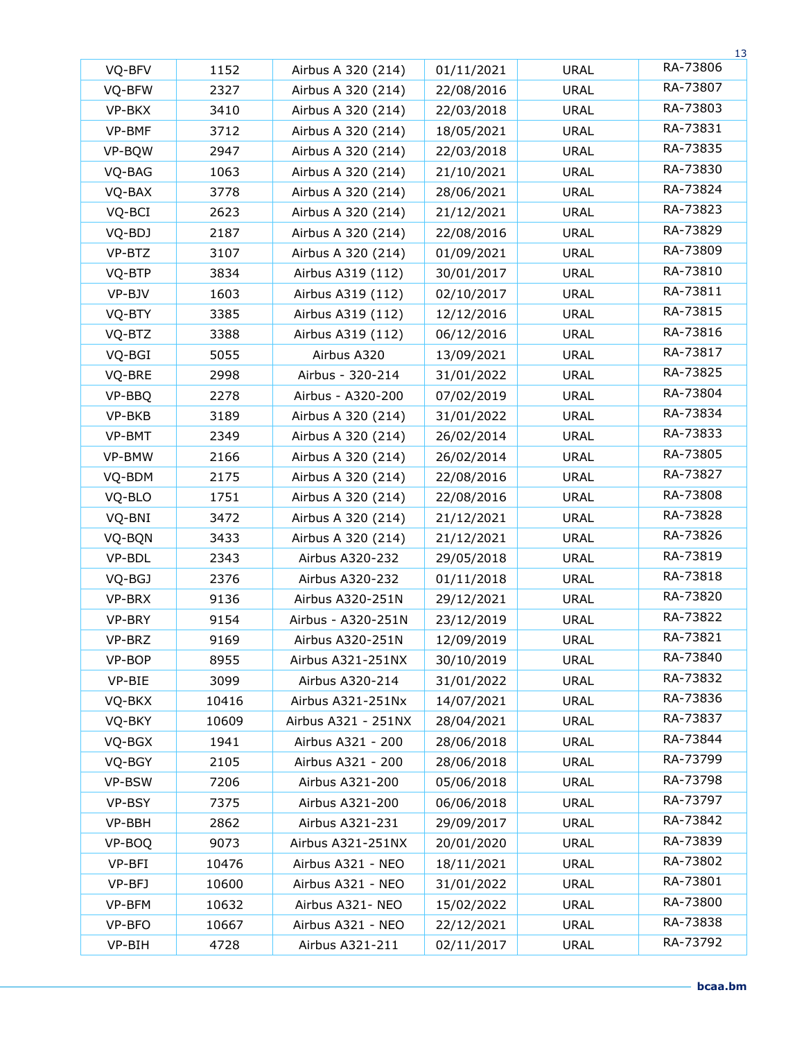|        |       |                     |            |             | 13       |
|--------|-------|---------------------|------------|-------------|----------|
| VQ-BFV | 1152  | Airbus A 320 (214)  | 01/11/2021 | <b>URAL</b> | RA-73806 |
| VQ-BFW | 2327  | Airbus A 320 (214)  | 22/08/2016 | URAL        | RA-73807 |
| VP-BKX | 3410  | Airbus A 320 (214)  | 22/03/2018 | <b>URAL</b> | RA-73803 |
| VP-BMF | 3712  | Airbus A 320 (214)  | 18/05/2021 | <b>URAL</b> | RA-73831 |
| VP-BQW | 2947  | Airbus A 320 (214)  | 22/03/2018 | <b>URAL</b> | RA-73835 |
| VQ-BAG | 1063  | Airbus A 320 (214)  | 21/10/2021 | URAL        | RA-73830 |
| VQ-BAX | 3778  | Airbus A 320 (214)  | 28/06/2021 | <b>URAL</b> | RA-73824 |
| VQ-BCI | 2623  | Airbus A 320 (214)  | 21/12/2021 | <b>URAL</b> | RA-73823 |
| VQ-BDJ | 2187  | Airbus A 320 (214)  | 22/08/2016 | <b>URAL</b> | RA-73829 |
| VP-BTZ | 3107  | Airbus A 320 (214)  | 01/09/2021 | <b>URAL</b> | RA-73809 |
| VQ-BTP | 3834  | Airbus A319 (112)   | 30/01/2017 | <b>URAL</b> | RA-73810 |
| VP-BJV | 1603  | Airbus A319 (112)   | 02/10/2017 | URAL        | RA-73811 |
| VQ-BTY | 3385  | Airbus A319 (112)   | 12/12/2016 | URAL        | RA-73815 |
| VQ-BTZ | 3388  | Airbus A319 (112)   | 06/12/2016 | URAL        | RA-73816 |
| VQ-BGI | 5055  | Airbus A320         | 13/09/2021 | URAL        | RA-73817 |
| VQ-BRE | 2998  | Airbus - 320-214    | 31/01/2022 | <b>URAL</b> | RA-73825 |
| VP-BBQ | 2278  | Airbus - A320-200   | 07/02/2019 | <b>URAL</b> | RA-73804 |
| VP-BKB | 3189  | Airbus A 320 (214)  | 31/01/2022 | URAL        | RA-73834 |
| VP-BMT | 2349  | Airbus A 320 (214)  | 26/02/2014 | URAL        | RA-73833 |
| VP-BMW | 2166  | Airbus A 320 (214)  | 26/02/2014 | URAL        | RA-73805 |
| VQ-BDM | 2175  | Airbus A 320 (214)  | 22/08/2016 | <b>URAL</b> | RA-73827 |
| VQ-BLO | 1751  | Airbus A 320 (214)  | 22/08/2016 | <b>URAL</b> | RA-73808 |
| VQ-BNI | 3472  | Airbus A 320 (214)  | 21/12/2021 | URAL        | RA-73828 |
| VQ-BQN | 3433  | Airbus A 320 (214)  | 21/12/2021 | URAL        | RA-73826 |
| VP-BDL | 2343  | Airbus A320-232     | 29/05/2018 | URAL        | RA-73819 |
| VQ-BGJ | 2376  | Airbus A320-232     | 01/11/2018 | URAL        | RA-73818 |
| VP-BRX | 9136  | Airbus A320-251N    | 29/12/2021 | <b>URAL</b> | RA-73820 |
| VP-BRY | 9154  | Airbus - A320-251N  | 23/12/2019 | <b>URAL</b> | RA-73822 |
| VP-BRZ | 9169  | Airbus A320-251N    | 12/09/2019 | <b>URAL</b> | RA-73821 |
| VP-BOP | 8955  | Airbus A321-251NX   | 30/10/2019 | URAL        | RA-73840 |
| VP-BIE | 3099  | Airbus A320-214     | 31/01/2022 | URAL        | RA-73832 |
| VQ-BKX | 10416 | Airbus A321-251Nx   | 14/07/2021 | <b>URAL</b> | RA-73836 |
| VQ-BKY | 10609 | Airbus A321 - 251NX | 28/04/2021 | <b>URAL</b> | RA-73837 |
| VQ-BGX | 1941  | Airbus A321 - 200   | 28/06/2018 | URAL        | RA-73844 |
| VQ-BGY | 2105  | Airbus A321 - 200   | 28/06/2018 | URAL        | RA-73799 |
| VP-BSW | 7206  | Airbus A321-200     | 05/06/2018 | URAL        | RA-73798 |
| VP-BSY | 7375  | Airbus A321-200     | 06/06/2018 | URAL        | RA-73797 |
| VP-BBH | 2862  | Airbus A321-231     | 29/09/2017 | <b>URAL</b> | RA-73842 |
| VP-BOQ | 9073  | Airbus A321-251NX   | 20/01/2020 | URAL        | RA-73839 |
| VP-BFI | 10476 | Airbus A321 - NEO   | 18/11/2021 | URAL        | RA-73802 |
| VP-BFJ | 10600 | Airbus A321 - NEO   | 31/01/2022 | URAL        | RA-73801 |
| VP-BFM | 10632 | Airbus A321- NEO    | 15/02/2022 | URAL        | RA-73800 |
| VP-BFO | 10667 | Airbus A321 - NEO   | 22/12/2021 | <b>URAL</b> | RA-73838 |
| VP-BIH | 4728  | Airbus A321-211     | 02/11/2017 | URAL        | RA-73792 |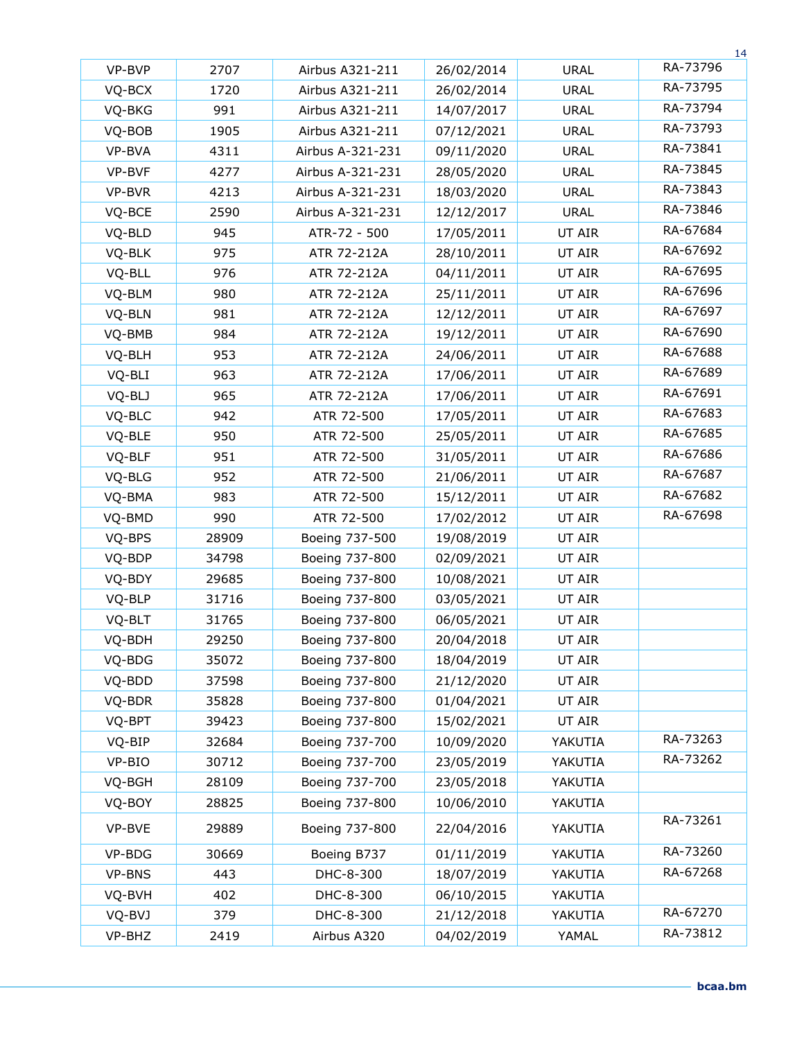|        |       |                  |            |             | 14       |
|--------|-------|------------------|------------|-------------|----------|
| VP-BVP | 2707  | Airbus A321-211  | 26/02/2014 | <b>URAL</b> | RA-73796 |
| VQ-BCX | 1720  | Airbus A321-211  | 26/02/2014 | <b>URAL</b> | RA-73795 |
| VQ-BKG | 991   | Airbus A321-211  | 14/07/2017 | <b>URAL</b> | RA-73794 |
| VQ-BOB | 1905  | Airbus A321-211  | 07/12/2021 | <b>URAL</b> | RA-73793 |
| VP-BVA | 4311  | Airbus A-321-231 | 09/11/2020 | <b>URAL</b> | RA-73841 |
| VP-BVF | 4277  | Airbus A-321-231 | 28/05/2020 | <b>URAL</b> | RA-73845 |
| VP-BVR | 4213  | Airbus A-321-231 | 18/03/2020 | <b>URAL</b> | RA-73843 |
| VQ-BCE | 2590  | Airbus A-321-231 | 12/12/2017 | <b>URAL</b> | RA-73846 |
| VQ-BLD | 945   | ATR-72 - 500     | 17/05/2011 | UT AIR      | RA-67684 |
| VQ-BLK | 975   | ATR 72-212A      | 28/10/2011 | UT AIR      | RA-67692 |
| VQ-BLL | 976   | ATR 72-212A      | 04/11/2011 | UT AIR      | RA-67695 |
| VQ-BLM | 980   | ATR 72-212A      | 25/11/2011 | UT AIR      | RA-67696 |
| VQ-BLN | 981   | ATR 72-212A      | 12/12/2011 | UT AIR      | RA-67697 |
| VQ-BMB | 984   | ATR 72-212A      | 19/12/2011 | UT AIR      | RA-67690 |
| VQ-BLH | 953   | ATR 72-212A      | 24/06/2011 | UT AIR      | RA-67688 |
| VQ-BLI | 963   | ATR 72-212A      | 17/06/2011 | UT AIR      | RA-67689 |
| VQ-BLJ | 965   | ATR 72-212A      | 17/06/2011 | UT AIR      | RA-67691 |
| VQ-BLC | 942   | ATR 72-500       | 17/05/2011 | UT AIR      | RA-67683 |
| VQ-BLE | 950   | ATR 72-500       | 25/05/2011 | UT AIR      | RA-67685 |
| VQ-BLF | 951   | ATR 72-500       | 31/05/2011 | UT AIR      | RA-67686 |
| VQ-BLG | 952   | ATR 72-500       | 21/06/2011 | UT AIR      | RA-67687 |
| VQ-BMA | 983   | ATR 72-500       | 15/12/2011 | UT AIR      | RA-67682 |
| VQ-BMD | 990   | ATR 72-500       | 17/02/2012 | UT AIR      | RA-67698 |
| VQ-BPS | 28909 | Boeing 737-500   | 19/08/2019 | UT AIR      |          |
| VQ-BDP | 34798 | Boeing 737-800   | 02/09/2021 | UT AIR      |          |
| VQ-BDY | 29685 | Boeing 737-800   | 10/08/2021 | UT AIR      |          |
| VQ-BLP | 31716 | Boeing 737-800   | 03/05/2021 | UT AIR      |          |
| VQ-BLT | 31765 | Boeing 737-800   | 06/05/2021 | UT AIR      |          |
| VQ-BDH | 29250 | Boeing 737-800   | 20/04/2018 | UT AIR      |          |
| VQ-BDG | 35072 | Boeing 737-800   | 18/04/2019 | UT AIR      |          |
| VQ-BDD | 37598 | Boeing 737-800   | 21/12/2020 | UT AIR      |          |
| VQ-BDR | 35828 | Boeing 737-800   | 01/04/2021 | UT AIR      |          |
| VQ-BPT | 39423 | Boeing 737-800   | 15/02/2021 | UT AIR      |          |
| VQ-BIP | 32684 | Boeing 737-700   | 10/09/2020 | YAKUTIA     | RA-73263 |
| VP-BIO | 30712 | Boeing 737-700   | 23/05/2019 | YAKUTIA     | RA-73262 |
| VQ-BGH | 28109 | Boeing 737-700   | 23/05/2018 | YAKUTIA     |          |
| VQ-BOY | 28825 | Boeing 737-800   | 10/06/2010 | YAKUTIA     |          |
| VP-BVE | 29889 | Boeing 737-800   | 22/04/2016 | YAKUTIA     | RA-73261 |
| VP-BDG | 30669 | Boeing B737      | 01/11/2019 | YAKUTIA     | RA-73260 |
| VP-BNS | 443   | DHC-8-300        | 18/07/2019 | YAKUTIA     | RA-67268 |
| VQ-BVH | 402   | DHC-8-300        | 06/10/2015 | YAKUTIA     |          |
| VQ-BVJ | 379   | DHC-8-300        | 21/12/2018 | YAKUTIA     | RA-67270 |
| VP-BHZ | 2419  | Airbus A320      | 04/02/2019 | YAMAL       | RA-73812 |